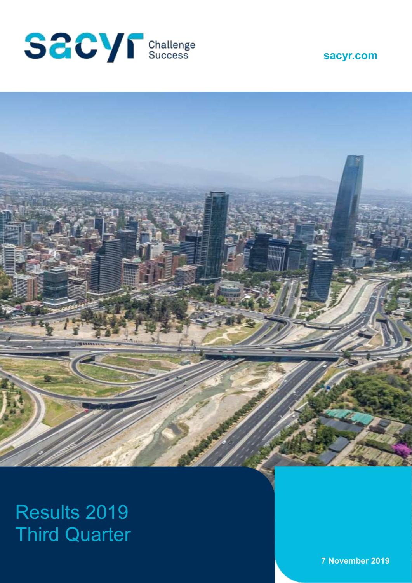





# Results 2019 Third Quarter

**7 November 2019**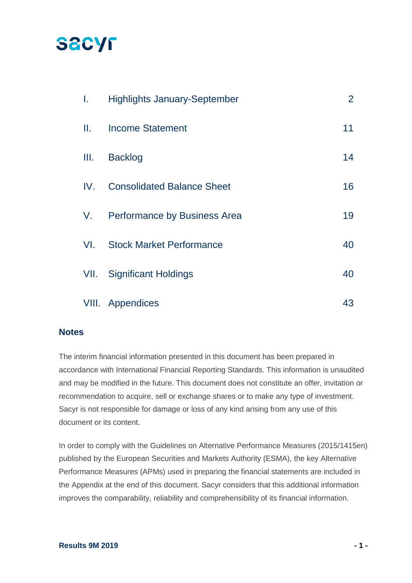# **SACYF**

| I.    | <b>Highlights January-September</b> | $\overline{2}$ |
|-------|-------------------------------------|----------------|
| Ш.    | <b>Income Statement</b>             | 11             |
| III.  | <b>Backlog</b>                      | 14             |
| IV.   | <b>Consolidated Balance Sheet</b>   | 16             |
| V.    | Performance by Business Area        | 19             |
| VI.   | <b>Stock Market Performance</b>     | 40             |
| VII.  | <b>Significant Holdings</b>         | 40             |
| VIII. | Appendices                          | 43             |

### **Notes**

The interim financial information presented in this document has been prepared in accordance with International Financial Reporting Standards. This information is unaudited and may be modified in the future. This document does not constitute an offer, invitation or recommendation to acquire, sell or exchange shares or to make any type of investment. Sacyr is not responsible for damage or loss of any kind arising from any use of this document or its content.

In order to comply with the Guidelines on Alternative Performance Measures (2015/1415en) published by the European Securities and Markets Authority (ESMA), the key Alternative Performance Measures (APMs) used in preparing the financial statements are included in the Appendix at the end of this document. Sacyr considers that this additional information improves the comparability, reliability and comprehensibility of its financial information.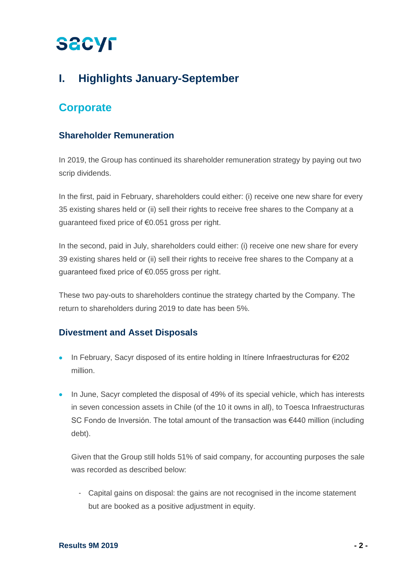# **I. Highlights January-September**

## **Corporate**

## **Shareholder Remuneration**

In 2019, the Group has continued its shareholder remuneration strategy by paying out two scrip dividends.

In the first, paid in February, shareholders could either: (i) receive one new share for every 35 existing shares held or (ii) sell their rights to receive free shares to the Company at a guaranteed fixed price of €0.051 gross per right.

In the second, paid in July, shareholders could either: (i) receive one new share for every 39 existing shares held or (ii) sell their rights to receive free shares to the Company at a guaranteed fixed price of €0.055 gross per right.

These two pay-outs to shareholders continue the strategy charted by the Company. The return to shareholders during 2019 to date has been 5%.

### **Divestment and Asset Disposals**

- In February, Sacyr disposed of its entire holding in Itínere Infraestructuras for €202 million.
- In June, Sacyr completed the disposal of 49% of its special vehicle, which has interests in seven concession assets in Chile (of the 10 it owns in all), to Toesca Infraestructuras SC Fondo de Inversión. The total amount of the transaction was €440 million (including debt).

Given that the Group still holds 51% of said company, for accounting purposes the sale was recorded as described below:

- Capital gains on disposal: the gains are not recognised in the income statement but are booked as a positive adjustment in equity.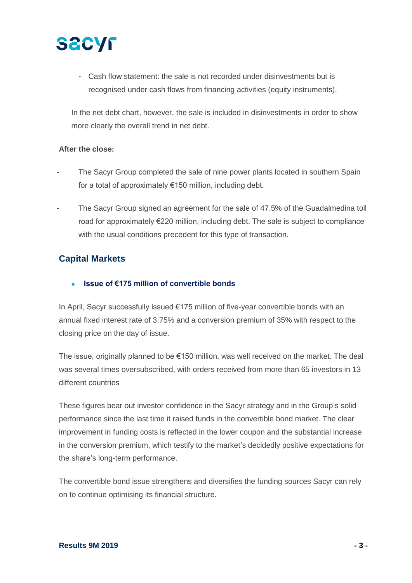

- Cash flow statement: the sale is not recorded under disinvestments but is recognised under cash flows from financing activities (equity instruments).

In the net debt chart, however, the sale is included in disinvestments in order to show more clearly the overall trend in net debt.

#### **After the close:**

- The Sacyr Group completed the sale of nine power plants located in southern Spain for a total of approximately €150 million, including debt.
- The Sacyr Group signed an agreement for the sale of 47.5% of the Guadalmedina toll road for approximately €220 million, including debt. The sale is subject to compliance with the usual conditions precedent for this type of transaction.

### **Capital Markets**

#### • **Issue of €175 million of convertible bonds**

In April, Sacyr successfully issued €175 million of five-year convertible bonds with an annual fixed interest rate of 3.75% and a conversion premium of 35% with respect to the closing price on the day of issue.

The issue, originally planned to be €150 million, was well received on the market. The deal was several times oversubscribed, with orders received from more than 65 investors in 13 different countries

These figures bear out investor confidence in the Sacyr strategy and in the Group's solid performance since the last time it raised funds in the convertible bond market. The clear improvement in funding costs is reflected in the lower coupon and the substantial increase in the conversion premium, which testify to the market's decidedly positive expectations for the share's long-term performance.

The convertible bond issue strengthens and diversifies the funding sources Sacyr can rely on to continue optimising its financial structure.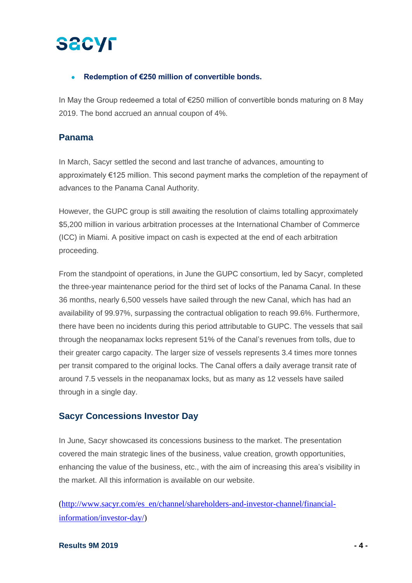### • **Redemption of €250 million of convertible bonds.**

In May the Group redeemed a total of €250 million of convertible bonds maturing on 8 May 2019. The bond accrued an annual coupon of 4%.

### **Panama**

In March, Sacyr settled the second and last tranche of advances, amounting to approximately €125 million. This second payment marks the completion of the repayment of advances to the Panama Canal Authority.

However, the GUPC group is still awaiting the resolution of claims totalling approximately \$5,200 million in various arbitration processes at the International Chamber of Commerce (ICC) in Miami. A positive impact on cash is expected at the end of each arbitration proceeding.

From the standpoint of operations, in June the GUPC consortium, led by Sacyr, completed the three-year maintenance period for the third set of locks of the Panama Canal. In these 36 months, nearly 6,500 vessels have sailed through the new Canal, which has had an availability of 99.97%, surpassing the contractual obligation to reach 99.6%. Furthermore, there have been no incidents during this period attributable to GUPC. The vessels that sail through the neopanamax locks represent 51% of the Canal's revenues from tolls, due to their greater cargo capacity. The larger size of vessels represents 3.4 times more tonnes per transit compared to the original locks. The Canal offers a daily average transit rate of around 7.5 vessels in the neopanamax locks, but as many as 12 vessels have sailed through in a single day.

### **Sacyr Concessions Investor Day**

In June, Sacyr showcased its concessions business to the market. The presentation covered the main strategic lines of the business, value creation, growth opportunities, enhancing the value of the business, etc., with the aim of increasing this area's visibility in the market. All this information is available on our website.

[\(http://www.sacyr.com/es\\_en/channel/shareholders-and-investor-channel/financial](http://www.sacyr.com/es_en/channel/shareholders-and-investor-channel/financial-information/investor-day/)[information/investor-day/\)](http://www.sacyr.com/es_en/channel/shareholders-and-investor-channel/financial-information/investor-day/)

#### **Results 9M 2019 - 4 -**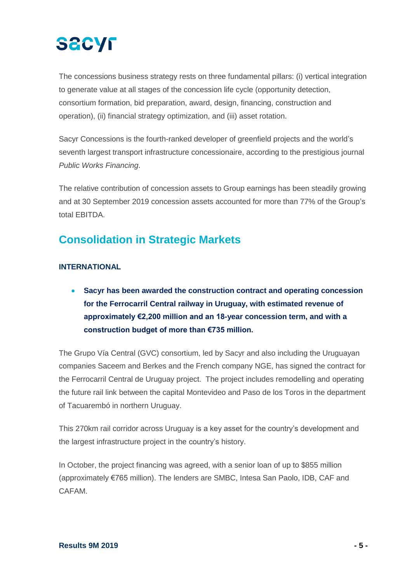The concessions business strategy rests on three fundamental pillars: (i) vertical integration to generate value at all stages of the concession life cycle (opportunity detection, consortium formation, bid preparation, award, design, financing, construction and operation), (ii) financial strategy optimization, and (iii) asset rotation.

Sacyr Concessions is the fourth-ranked developer of greenfield projects and the world's seventh largest transport infrastructure concessionaire, according to the prestigious journal *Public Works Financing*.

The relative contribution of concession assets to Group earnings has been steadily growing and at 30 September 2019 concession assets accounted for more than 77% of the Group's total EBITDA.

# **Consolidation in Strategic Markets**

### **INTERNATIONAL**

• **Sacyr has been awarded the construction contract and operating concession for the Ferrocarril Central railway in Uruguay, with estimated revenue of approximately €2,200 million and an 18-year concession term, and with a construction budget of more than €735 million.** 

The Grupo Vía Central (GVC) consortium, led by Sacyr and also including the Uruguayan companies Saceem and Berkes and the French company NGE, has signed the contract for the Ferrocarril Central de Uruguay project. The project includes remodelling and operating the future rail link between the capital Montevideo and Paso de los Toros in the department of Tacuarembó in northern Uruguay.

This 270km rail corridor across Uruguay is a key asset for the country's development and the largest infrastructure project in the country's history.

In October, the project financing was agreed, with a senior loan of up to \$855 million (approximately €765 million). The lenders are SMBC, Intesa San Paolo, IDB, CAF and CAFAM.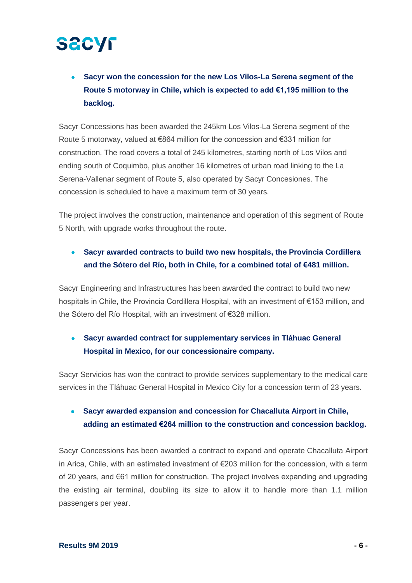• **Sacyr won the concession for the new Los Vilos-La Serena segment of the Route 5 motorway in Chile, which is expected to add €1,195 million to the backlog.** 

Sacyr Concessions has been awarded the 245km Los Vilos-La Serena segment of the Route 5 motorway, valued at €864 million for the concession and €331 million for construction. The road covers a total of 245 kilometres, starting north of Los Vilos and ending south of Coquimbo, plus another 16 kilometres of urban road linking to the La Serena-Vallenar segment of Route 5, also operated by Sacyr Concesiones. The concession is scheduled to have a maximum term of 30 years.

The project involves the construction, maintenance and operation of this segment of Route 5 North, with upgrade works throughout the route.

## • **Sacyr awarded contracts to build two new hospitals, the Provincia Cordillera and the Sótero del Río, both in Chile, for a combined total of €481 million.**

Sacyr Engineering and Infrastructures has been awarded the contract to build two new hospitals in Chile, the Provincia Cordillera Hospital, with an investment of €153 million, and the Sótero del Río Hospital, with an investment of €328 million.

## • **Sacyr awarded contract for supplementary services in Tláhuac General Hospital in Mexico, for our concessionaire company.**

Sacyr Servicios has won the contract to provide services supplementary to the medical care services in the Tláhuac General Hospital in Mexico City for a concession term of 23 years.

## • **Sacyr awarded expansion and concession for Chacalluta Airport in Chile, adding an estimated €264 million to the construction and concession backlog.**

Sacyr Concessions has been awarded a contract to expand and operate Chacalluta Airport in Arica, Chile, with an estimated investment of €203 million for the concession, with a term of 20 years, and €61 million for construction. The project involves expanding and upgrading the existing air terminal, doubling its size to allow it to handle more than 1.1 million passengers per year.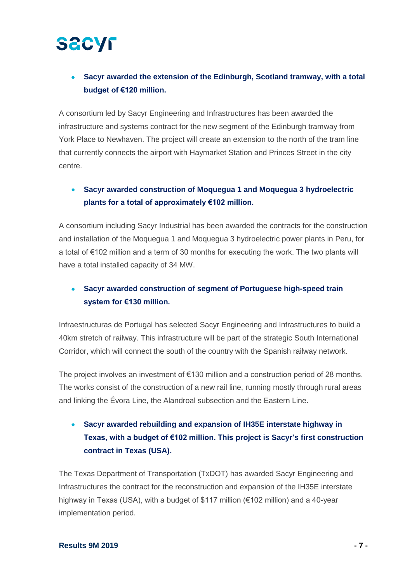## • **Sacyr awarded the extension of the Edinburgh, Scotland tramway, with a total budget of €120 million.**

A consortium led by Sacyr Engineering and Infrastructures has been awarded the infrastructure and systems contract for the new segment of the Edinburgh tramway from York Place to Newhaven. The project will create an extension to the north of the tram line that currently connects the airport with Haymarket Station and Princes Street in the city centre.

## • **Sacyr awarded construction of Moquegua 1 and Moquegua 3 hydroelectric plants for a total of approximately €102 million.**

A consortium including Sacyr Industrial has been awarded the contracts for the construction and installation of the Moquegua 1 and Moquegua 3 hydroelectric power plants in Peru, for a total of €102 million and a term of 30 months for executing the work. The two plants will have a total installed capacity of 34 MW.

## • **Sacyr awarded construction of segment of Portuguese high-speed train system for €130 million.**

Infraestructuras de Portugal has selected Sacyr Engineering and Infrastructures to build a 40km stretch of railway. This infrastructure will be part of the strategic South International Corridor, which will connect the south of the country with the Spanish railway network.

The project involves an investment of €130 million and a construction period of 28 months. The works consist of the construction of a new rail line, running mostly through rural areas and linking the Évora Line, the Alandroal subsection and the Eastern Line.

## • **Sacyr awarded rebuilding and expansion of IH35E interstate highway in Texas, with a budget of €102 million. This project is Sacyr's first construction contract in Texas (USA).**

The Texas Department of Transportation (TxDOT) has awarded Sacyr Engineering and Infrastructures the contract for the reconstruction and expansion of the IH35E interstate highway in Texas (USA), with a budget of \$117 million (€102 million) and a 40-year implementation period.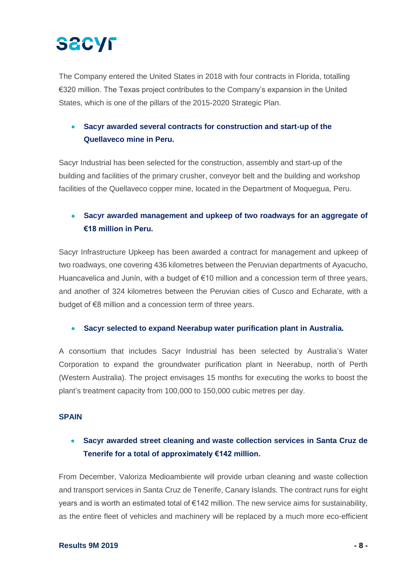The Company entered the United States in 2018 with four contracts in Florida, totalling €320 million. The Texas project contributes to the Company's expansion in the United States, which is one of the pillars of the 2015-2020 Strategic Plan.

## • **Sacyr awarded several contracts for construction and start-up of the Quellaveco mine in Peru.**

Sacyr Industrial has been selected for the construction, assembly and start-up of the building and facilities of the primary crusher, conveyor belt and the building and workshop facilities of the Quellaveco copper mine, located in the Department of Moquegua, Peru.

### • **Sacyr awarded management and upkeep of two roadways for an aggregate of €18 million in Peru.**

Sacyr Infrastructure Upkeep has been awarded a contract for management and upkeep of two roadways, one covering 436 kilometres between the Peruvian departments of Ayacucho, Huancavelica and Junín, with a budget of  $E$ 10 million and a concession term of three years, and another of 324 kilometres between the Peruvian cities of Cusco and Echarate, with a budget of €8 million and a concession term of three years.

### • **Sacyr selected to expand Neerabup water purification plant in Australia.**

A consortium that includes Sacyr Industrial has been selected by Australia's Water Corporation to expand the groundwater purification plant in Neerabup, north of Perth (Western Australia). The project envisages 15 months for executing the works to boost the plant's treatment capacity from 100,000 to 150,000 cubic metres per day.

#### **SPAIN**

## • **Sacyr awarded street cleaning and waste collection services in Santa Cruz de Tenerife for a total of approximately €142 million.**

From December, Valoriza Medioambiente will provide urban cleaning and waste collection and transport services in Santa Cruz de Tenerife, Canary Islands. The contract runs for eight years and is worth an estimated total of €142 million. The new service aims for sustainability, as the entire fleet of vehicles and machinery will be replaced by a much more eco-efficient

#### **Results 9M 2019 - 8 -**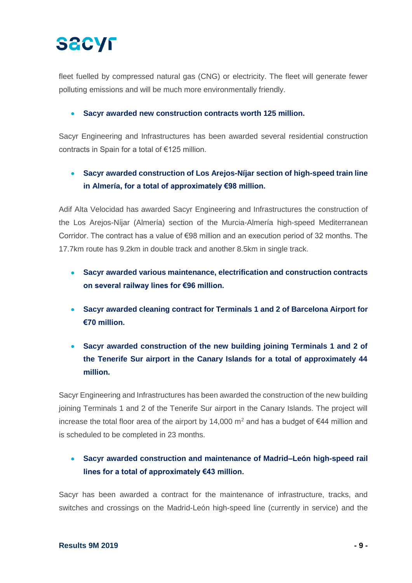# **SECYF**

fleet fuelled by compressed natural gas (CNG) or electricity. The fleet will generate fewer polluting emissions and will be much more environmentally friendly.

#### • **Sacyr awarded new construction contracts worth 125 million.**

Sacyr Engineering and Infrastructures has been awarded several residential construction contracts in Spain for a total of €125 million.

## • **Sacyr awarded construction of Los Arejos-Níjar section of high-speed train line in Almería, for a total of approximately €98 million.**

Adif Alta Velocidad has awarded Sacyr Engineering and Infrastructures the construction of the Los Arejos-Níjar (Almería) section of the Murcia-Almería high-speed Mediterranean Corridor. The contract has a value of €98 million and an execution period of 32 months. The 17.7km route has 9.2km in double track and another 8.5km in single track.

- **Sacyr awarded various maintenance, electrification and construction contracts on several railway lines for €96 million.**
- **Sacyr awarded cleaning contract for Terminals 1 and 2 of Barcelona Airport for €70 million.**
- **Sacyr awarded construction of the new building joining Terminals 1 and 2 of the Tenerife Sur airport in the Canary Islands for a total of approximately 44 million.**

Sacyr Engineering and Infrastructures has been awarded the construction of the new building joining Terminals 1 and 2 of the Tenerife Sur airport in the Canary Islands. The project will increase the total floor area of the airport by 14,000 m<sup>2</sup> and has a budget of  $\epsilon$ 44 million and is scheduled to be completed in 23 months.

## • **Sacyr awarded construction and maintenance of Madrid–León high-speed rail lines for a total of approximately €43 million.**

Sacyr has been awarded a contract for the maintenance of infrastructure, tracks, and switches and crossings on the Madrid-León high-speed line (currently in service) and the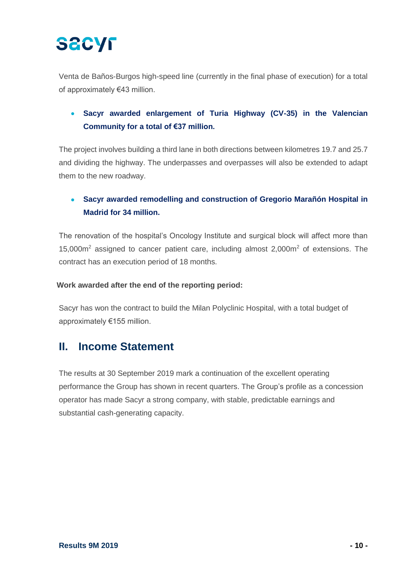Venta de Baños-Burgos high-speed line (currently in the final phase of execution) for a total of approximately €43 million.

## • **Sacyr awarded enlargement of Turia Highway (CV-35) in the Valencian Community for a total of €37 million.**

The project involves building a third lane in both directions between kilometres 19.7 and 25.7 and dividing the highway. The underpasses and overpasses will also be extended to adapt them to the new roadway.

## • **Sacyr awarded remodelling and construction of Gregorio Marañón Hospital in Madrid for 34 million.**

The renovation of the hospital's Oncology Institute and surgical block will affect more than  $15,000m<sup>2</sup>$  assigned to cancer patient care, including almost 2,000 $m<sup>2</sup>$  of extensions. The contract has an execution period of 18 months.

### **Work awarded after the end of the reporting period:**

Sacyr has won the contract to build the Milan Polyclinic Hospital, with a total budget of approximately €155 million.

## **II. Income Statement**

The results at 30 September 2019 mark a continuation of the excellent operating performance the Group has shown in recent quarters. The Group's profile as a concession operator has made Sacyr a strong company, with stable, predictable earnings and substantial cash-generating capacity.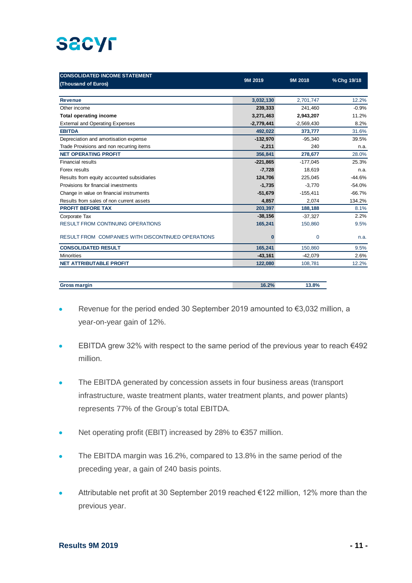# **SACYF**

| <b>CONSOLIDATED INCOME STATEMENT</b>               |              |              |             |
|----------------------------------------------------|--------------|--------------|-------------|
| (Thousand of Euros)                                | 9M 2019      | 9M 2018      | % Chg 19/18 |
|                                                    |              |              |             |
| <b>Revenue</b>                                     | 3,032,130    | 2,701,747    | 12.2%       |
| Other income                                       | 239,333      | 241,460      | $-0.9%$     |
| <b>Total operating income</b>                      | 3,271,463    | 2,943,207    | 11.2%       |
| <b>External and Operating Expenses</b>             | $-2,779,441$ | $-2,569,430$ | 8.2%        |
| <b>EBITDA</b>                                      | 492,022      | 373,777      | 31.6%       |
| Depreciation and amortisation expense              | $-132,970$   | $-95,340$    | 39.5%       |
| Trade Provisions and non recurring items           | $-2,211$     | 240          | n.a.        |
| <b>NET OPERATING PROFIT</b>                        | 356,841      | 278,677      | 28.0%       |
| <b>Financial results</b>                           | $-221,865$   | $-177,045$   | 25.3%       |
| Forex results                                      | $-7,728$     | 18,619       | n.a.        |
| Results from equity accounted subsidiaries         | 124,706      | 225,045      | $-44.6%$    |
| Provisions for financial investments               | $-1,735$     | $-3,770$     | $-54.0%$    |
| Change in value on financial instruments           | $-51,679$    | $-155,411$   | $-66.7%$    |
| Results from sales of non current assets           | 4,857        | 2.074        | 134.2%      |
| <b>PROFIT BEFORE TAX</b>                           | 203,397      | 188,188      | 8.1%        |
| Corporate Tax                                      | $-38,156$    | $-37.327$    | 2.2%        |
| <b>RESULT FROM CONTINUING OPERATIONS</b>           | 165,241      | 150,860      | 9.5%        |
| RESULT FROM COMPANIES WITH DISCONTINUED OPERATIONS | 0            | $\mathbf 0$  | n.a.        |
| <b>CONSOLIDATED RESULT</b>                         | 165,241      | 150,860      | 9.5%        |
| <b>Minorities</b>                                  | $-43,161$    | $-42,079$    | 2.6%        |
| <b>NET ATTRIBUTABLE PROFIT</b>                     | 122,080      | 108,781      | 12.2%       |

| <b>Gross margin</b> | 16.2% | 13.8% |
|---------------------|-------|-------|
|                     |       |       |

- Revenue for the period ended 30 September 2019 amounted to €3,032 million, a year-on-year gain of 12%.
- EBITDA grew 32% with respect to the same period of the previous year to reach €492 million.
- The EBITDA generated by concession assets in four business areas (transport infrastructure, waste treatment plants, water treatment plants, and power plants) represents 77% of the Group's total EBITDA.
- Net operating profit (EBIT) increased by 28% to €357 million.
- The EBITDA margin was 16.2%, compared to 13.8% in the same period of the preceding year, a gain of 240 basis points.
- Attributable net profit at 30 September 2019 reached €122 million, 12% more than the previous year.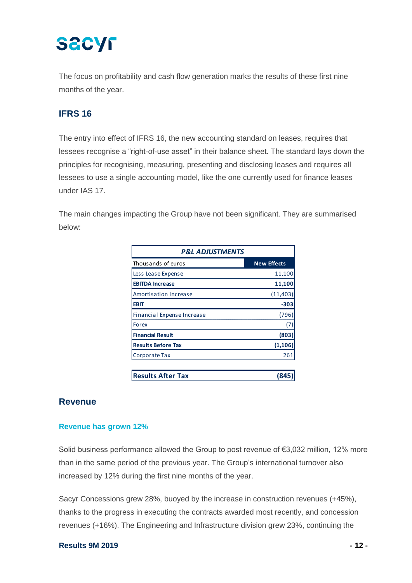The focus on profitability and cash flow generation marks the results of these first nine months of the year.

## **IFRS 16**

The entry into effect of IFRS 16, the new accounting standard on leases, requires that lessees recognise a "right-of-use asset" in their balance sheet. The standard lays down the principles for recognising, measuring, presenting and disclosing leases and requires all lessees to use a single accounting model, like the one currently used for finance leases under IAS 17.

The main changes impacting the Group have not been significant. They are summarised below:

| <b>P&amp;L ADJUSTMENTS</b>   |                    |  |  |  |
|------------------------------|--------------------|--|--|--|
| Thousands of euros           | <b>New Effects</b> |  |  |  |
| Less Lease Expense           | 11,100             |  |  |  |
| <b>EBITDA Increase</b>       | 11,100             |  |  |  |
| <b>Amortisation Increase</b> | (11, 403)          |  |  |  |
| <b>EBIT</b>                  | $-303$             |  |  |  |
| Financial Expense Increase   | (796               |  |  |  |
| Forex                        |                    |  |  |  |
| <b>Financial Result</b>      | (803)              |  |  |  |
| <b>Results Before Tax</b>    | (1, 106)           |  |  |  |
| Corporate Tax                | 261                |  |  |  |
|                              |                    |  |  |  |
| <b>Results After Tax</b>     |                    |  |  |  |

### **Revenue**

### **Revenue has grown 12%**

Solid business performance allowed the Group to post revenue of €3,032 million, 12% more than in the same period of the previous year. The Group's international turnover also increased by 12% during the first nine months of the year.

Sacyr Concessions grew 28%, buoyed by the increase in construction revenues (+45%), thanks to the progress in executing the contracts awarded most recently, and concession revenues (+16%). The Engineering and Infrastructure division grew 23%, continuing the

#### **Results 9M 2019 - 12 -**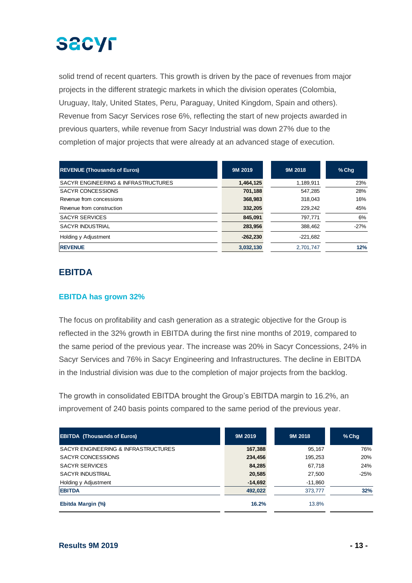solid trend of recent quarters. This growth is driven by the pace of revenues from major projects in the different strategic markets in which the division operates (Colombia, Uruguay, Italy, United States, Peru, Paraguay, United Kingdom, Spain and others). Revenue from Sacyr Services rose 6%, reflecting the start of new projects awarded in previous quarters, while revenue from Sacyr Industrial was down 27% due to the completion of major projects that were already at an advanced stage of execution.

| <b>REVENUE (Thousands of Euros)</b> | 9M 2019    | 9M 2018    | $%$ Chq |
|-------------------------------------|------------|------------|---------|
| SACYR ENGINEERING & INFRASTRUCTURES | 1,464,125  | 1,189,911  | 23%     |
| SACYR CONCESSIONS                   | 701,188    | 547.285    | 28%     |
| Revenue from concessions            | 368,983    | 318.043    | 16%     |
| Revenue from construction           | 332,205    | 229.242    | 45%     |
| <b>SACYR SERVICES</b>               | 845,091    | 797.771    | 6%      |
| <b>SACYR INDUSTRIAL</b>             | 283,956    | 388.462    | $-27%$  |
| Holding y Adjustment                | $-262.230$ | $-221.682$ |         |
| <b>REVENUE</b>                      | 3,032,130  | 2.701.747  | 12%     |

## **EBITDA**

### **EBITDA has grown 32%**

The focus on profitability and cash generation as a strategic objective for the Group is reflected in the 32% growth in EBITDA during the first nine months of 2019, compared to the same period of the previous year. The increase was 20% in Sacyr Concessions, 24% in Sacyr Services and 76% in Sacyr Engineering and Infrastructures. The decline in EBITDA in the Industrial division was due to the completion of major projects from the backlog.

The growth in consolidated EBITDA brought the Group's EBITDA margin to 16.2%, an improvement of 240 basis points compared to the same period of the previous year.

| <b>EBITDA (Thousands of Euros)</b>  | 9M 2019   | 9M 2018   | $%$ Chq |
|-------------------------------------|-----------|-----------|---------|
| SACYR ENGINEERING & INFRASTRUCTURES | 167,388   | 95,167    | 76%     |
| SACYR CONCESSIONS                   | 234,456   | 195.253   | 20%     |
| <b>SACYR SERVICES</b>               | 84,285    | 67,718    | 24%     |
| <b>SACYR INDUSTRIAL</b>             | 20,585    | 27,500    | $-25%$  |
| Holding y Adjustment                | $-14,692$ | $-11,860$ |         |
| <b>EBITDA</b>                       | 492,022   | 373.777   | 32%     |
| Ebitda Margin (%)                   | 16.2%     | 13.8%     |         |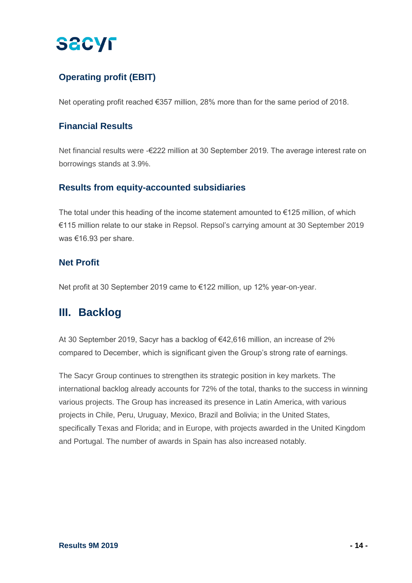## **Operating profit (EBIT)**

Net operating profit reached €357 million, 28% more than for the same period of 2018.

### **Financial Results**

Net financial results were -€222 million at 30 September 2019. The average interest rate on borrowings stands at 3.9%.

### **Results from equity-accounted subsidiaries**

The total under this heading of the income statement amounted to  $E$ 125 million, of which €115 million relate to our stake in Repsol. Repsol's carrying amount at 30 September 2019 was €16.93 per share.

### **Net Profit**

Net profit at 30 September 2019 came to €122 million, up 12% year-on-year.

# **III. Backlog**

At 30 September 2019, Sacyr has a backlog of €42,616 million, an increase of 2% compared to December, which is significant given the Group's strong rate of earnings.

The Sacyr Group continues to strengthen its strategic position in key markets. The international backlog already accounts for 72% of the total, thanks to the success in winning various projects. The Group has increased its presence in Latin America, with various projects in Chile, Peru, Uruguay, Mexico, Brazil and Bolivia; in the United States, specifically Texas and Florida; and in Europe, with projects awarded in the United Kingdom and Portugal. The number of awards in Spain has also increased notably.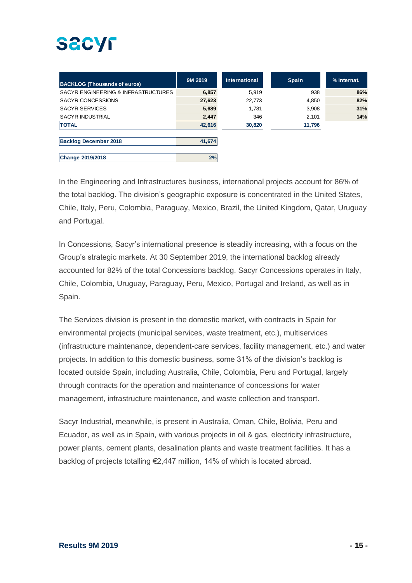| <b>BACKLOG (Thousands of euros)</b> | 9M 2019 | International | <b>Spain</b> | % Internat. |
|-------------------------------------|---------|---------------|--------------|-------------|
| SACYR ENGINEERING & INFRASTRUCTURES | 6,857   | 5.919         | 938          | 86%         |
| SACYR CONCESSIONS                   | 27,623  | 22,773        | 4,850        | 82%         |
| <b>SACYR SERVICES</b>               | 5,689   | 1,781         | 3,908        | 31%         |
| <b>SACYR INDUSTRIAL</b>             | 2,447   | 346           | 2,101        | 14%         |
| <b>TOTAL</b>                        | 42,616  | 30,820        | 11,796       |             |
|                                     |         |               |              |             |
| <b>Backlog December 2018</b>        | 41,674  |               |              |             |
|                                     |         |               |              |             |
| <b>Change 2019/2018</b>             | 2%      |               |              |             |

In the Engineering and Infrastructures business, international projects account for 86% of the total backlog. The division's geographic exposure is concentrated in the United States, Chile, Italy, Peru, Colombia, Paraguay, Mexico, Brazil, the United Kingdom, Qatar, Uruguay and Portugal.

In Concessions, Sacyr's international presence is steadily increasing, with a focus on the Group's strategic markets. At 30 September 2019, the international backlog already accounted for 82% of the total Concessions backlog. Sacyr Concessions operates in Italy, Chile, Colombia, Uruguay, Paraguay, Peru, Mexico, Portugal and Ireland, as well as in Spain.

The Services division is present in the domestic market, with contracts in Spain for environmental projects (municipal services, waste treatment, etc.), multiservices (infrastructure maintenance, dependent-care services, facility management, etc.) and water projects. In addition to this domestic business, some 31% of the division's backlog is located outside Spain, including Australia, Chile, Colombia, Peru and Portugal, largely through contracts for the operation and maintenance of concessions for water management, infrastructure maintenance, and waste collection and transport.

Sacyr Industrial, meanwhile, is present in Australia, Oman, Chile, Bolivia, Peru and Ecuador, as well as in Spain, with various projects in oil & gas, electricity infrastructure, power plants, cement plants, desalination plants and waste treatment facilities. It has a backlog of projects totalling €2,447 million, 14% of which is located abroad.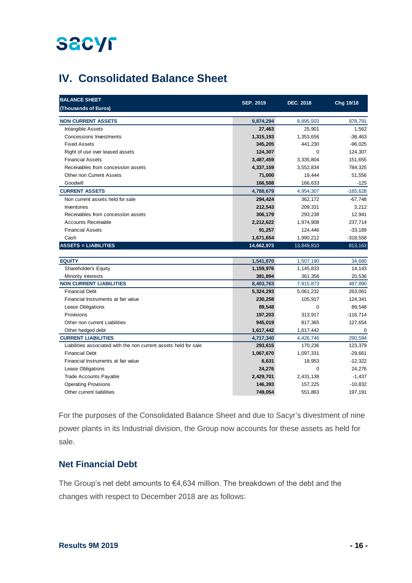# **IV. Consolidated Balance Sheet**

| <b>BALANCE SHEET</b><br>(Thousands of Euros)                     | <b>SEP. 2019</b> | <b>DEC. 2018</b> | Chg 19/18   |
|------------------------------------------------------------------|------------------|------------------|-------------|
| <b>NON CURRENT ASSETS</b>                                        | 9,874,294        | 8,895,503        | 978,791     |
| Intangible Assets                                                | 27,463           | 25,901           | 1,562       |
| <b>Concessions Investments</b>                                   | 1,315,193        | 1,353,656        | $-38,463$   |
| <b>Fixed Assets</b>                                              | 345,205          | 441,230          | $-96,025$   |
| Right of use over leased assets                                  | 124,307          | $\mathbf 0$      | 124,307     |
| <b>Financial Assets</b>                                          | 3,487,459        | 3,335,804        | 151,655     |
| Receivables from concession assets                               | 4,337,159        | 3,552,834        | 784,325     |
| Other non Current Assets                                         | 71,000           | 19,444           | 51,556      |
| Goodwill                                                         | 166,508          | 166,633          | $-125$      |
| <b>CURRENT ASSETS</b>                                            | 4,788,679        | 4,954,307        | $-165,628$  |
| Non current assets held for sale                                 | 294,424          | 362,172          | $-67,748$   |
| Inventories                                                      | 212,543          | 209,331          | 3,212       |
| Receivables from concession assets                               | 306,179          | 293,238          | 12,941      |
| <b>Accounts Receivable</b>                                       | 2,212,622        | 1,974,908        | 237,714     |
| <b>Financial Assets</b>                                          | 91,257           | 124,446          | $-33,189$   |
| Cash                                                             | 1,671,654        | 1,990,212        | $-318,558$  |
| <b>ASSETS = LIABILITIES</b>                                      | 14,662,973       | 13,849,810       | 813,163     |
|                                                                  |                  |                  |             |
| <b>EQUITY</b>                                                    | 1,541,870        | 1,507,190        | 34,680      |
| Shareholder's Equity                                             | 1,159,976        | 1,145,833        | 14,143      |
| Minority Interests                                               | 381,894          | 361,358          | 20,536      |
| <b>NON CURRENT LIABILITIES</b>                                   | 8,403,763        | 7,915,873        | 487,890     |
| <b>Financial Debt</b>                                            | 5,324,293        | 5,061,232        | 263,061     |
| Financial Instruments at fair value                              | 230,258          | 105,917          | 124,341     |
| Lease Obligations                                                | 89,548           | $\Omega$         | 89,548      |
| Provisions                                                       | 197,203          | 313,917          | $-116,714$  |
| Other non current Liabilities                                    | 945,019          | 817,365          | 127,654     |
| Other hedged debt                                                | 1,617,442        | 1,617,442        | $\mathbf 0$ |
| <b>CURRENT LIABILITIES</b>                                       | 4,717,340        | 4,426,746        | 290,594     |
| Liabilities associated with the non current assets held for sale | 293,615          | 170,236          | 123,379     |
| <b>Financial Debt</b>                                            | 1,067,670        | 1,097,331        | $-29,661$   |
| Financial Instruments at fair value                              | 6,631            | 18,953           | $-12,322$   |
| Lease Obligations                                                | 24,276           | $\mathbf 0$      | 24,276      |
| <b>Trade Accounts Payable</b>                                    | 2,429,701        | 2,431,138        | $-1,437$    |
| <b>Operating Provisions</b>                                      | 146,393          | 157,225          | $-10,832$   |
| Other current liabilities                                        | 749,054          | 551,863          | 197,191     |

For the purposes of the Consolidated Balance Sheet and due to Sacyr's divestment of nine power plants in its Industrial division, the Group now accounts for these assets as held for sale.

### **Net Financial Debt**

The Group's net debt amounts to €4,634 million. The breakdown of the debt and the changes with respect to December 2018 are as follows: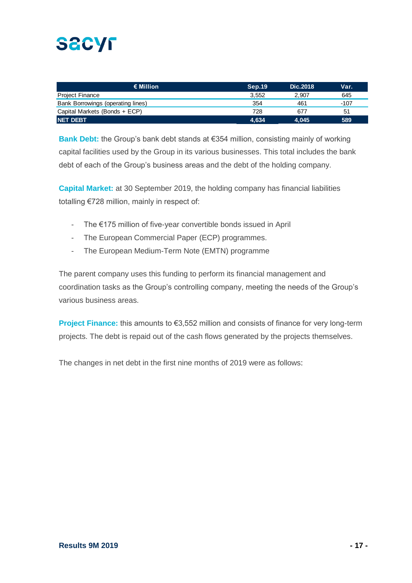| € Million                         | Sep.19 | Dic. 2018 | Var. |
|-----------------------------------|--------|-----------|------|
| <b>Project Finance</b>            | 3.552  | 2.907     | 645  |
| Bank Borrowings (operating lines) | 354    | 461       | -107 |
| Capital Markets (Bonds + ECP)     | 728    | 677       | 51   |
| <b>NET DEBT</b>                   | 4.634  | 4.045     | 589  |

**Bank Debt:** the Group's bank debt stands at €354 million, consisting mainly of working capital facilities used by the Group in its various businesses. This total includes the bank debt of each of the Group's business areas and the debt of the holding company.

**Capital Market:** at 30 September 2019, the holding company has financial liabilities totalling €728 million, mainly in respect of:

- The €175 million of five-year convertible bonds issued in April
- The European Commercial Paper (ECP) programmes.
- The European Medium-Term Note (EMTN) programme

The parent company uses this funding to perform its financial management and coordination tasks as the Group's controlling company, meeting the needs of the Group's various business areas.

**Project Finance:** this amounts to €3,552 million and consists of finance for very long-term projects. The debt is repaid out of the cash flows generated by the projects themselves.

The changes in net debt in the first nine months of 2019 were as follows: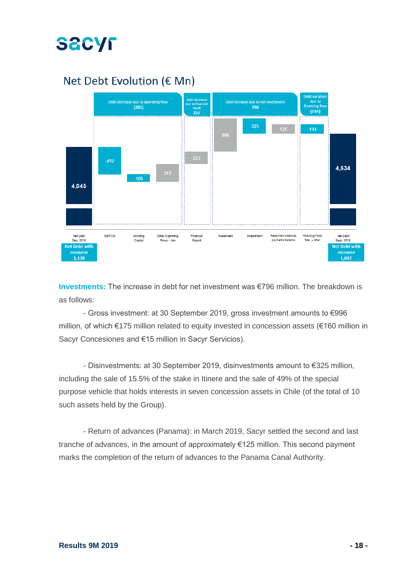

# Net Debt Evolution (€ Mn)



**Investments:** The increase in debt for net investment was €796 million. The breakdown is as follows:

- Gross investment: at 30 September 2019, gross investment amounts to €996 million, of which €175 million related to equity invested in concession assets (€160 million in Sacyr Concesiones and €15 million in Sacyr Servicios).

- Disinvestments: at 30 September 2019, disinvestments amount to €325 million, including the sale of 15.5% of the stake in Itinere and the sale of 49% of the special purpose vehicle that holds interests in seven concession assets in Chile (of the total of 10 such assets held by the Group).

- Return of advances (Panama): in March 2019, Sacyr settled the second and last tranche of advances, in the amount of approximately €125 million. This second payment marks the completion of the return of advances to the Panama Canal Authority.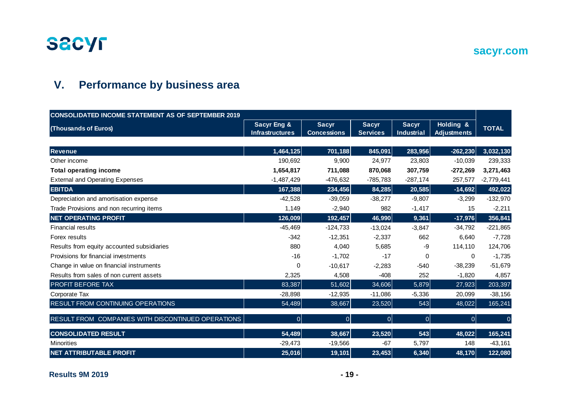

## **sacyr.com**

# **V. Performance by business area**

| <b>CONSOLIDATED INCOME STATEMENT AS OF SEPTEMBER 2019</b> |                                                  |                                    |                                 |                                   |                                 |              |
|-----------------------------------------------------------|--------------------------------------------------|------------------------------------|---------------------------------|-----------------------------------|---------------------------------|--------------|
| (Thousands of Euros)                                      | <b>Sacyr Eng &amp;</b><br><b>Infrastructures</b> | <b>Sacyr</b><br><b>Concessions</b> | <b>Sacyr</b><br><b>Services</b> | <b>Sacyr</b><br><b>Industrial</b> | Holding &<br><b>Adjustments</b> | <b>TOTAL</b> |
|                                                           |                                                  |                                    |                                 |                                   |                                 |              |
| <b>Revenue</b>                                            | 1,464,125                                        | 701,188                            | 845,091                         | 283,956                           | $-262,230$                      | 3,032,130    |
| Other income                                              | 190,692                                          | 9,900                              | 24,977                          | 23,803                            | $-10,039$                       | 239,333      |
| <b>Total operating income</b>                             | 1,654,817                                        | 711,088                            | 870,068                         | 307,759                           | $-272,269$                      | 3,271,463    |
| <b>External and Operating Expenses</b>                    | $-1,487,429$                                     | $-476,632$                         | $-785,783$                      | $-287,174$                        | 257,577                         | $-2,779,441$ |
| <b>EBITDA</b>                                             | 167,388                                          | 234,456                            | 84,285                          | 20,585                            | $-14,692$                       | 492,022      |
| Depreciation and amortisation expense                     | $-42,528$                                        | $-39,059$                          | $-38,277$                       | $-9.807$                          | $-3,299$                        | $-132,970$   |
| Trade Provisions and non recurring items                  | 1,149                                            | $-2,940$                           | 982                             | $-1,417$                          | 15                              | $-2,211$     |
| <b>NET OPERATING PROFIT</b>                               | 126,009                                          | 192,457                            | 46,990                          | 9,361                             | $-17,976$                       | 356,841      |
| <b>Financial results</b>                                  | $-45,469$                                        | $-124,733$                         | $-13,024$                       | $-3,847$                          | $-34,792$                       | $-221,865$   |
| Forex results                                             | $-342$                                           | $-12,351$                          | $-2,337$                        | 662                               | 6,640                           | $-7,728$     |
| Results from equity accounted subsidiaries                | 880                                              | 4.040                              | 5,685                           | -9                                | 114,110                         | 124,706      |
| Provisions for financial investments                      | $-16$                                            | $-1,702$                           | $-17$                           | 0                                 | 0                               | $-1,735$     |
| Change in value on financial instruments                  | $\Omega$                                         | $-10,617$                          | $-2,283$                        | $-540$                            | $-38,239$                       | $-51,679$    |
| Results from sales of non current assets                  | 2,325                                            | 4,508                              | $-408$                          | 252                               | $-1,820$                        | 4,857        |
| <b>PROFIT BEFORE TAX</b>                                  | 83,387                                           | 51,602                             | 34,606                          | 5,879                             | 27,923                          | 203,397      |
| Corporate Tax                                             | $-28,898$                                        | $-12,935$                          | $-11,086$                       | $-5,336$                          | 20,099                          | $-38,156$    |
| <b>RESULT FROM CONTINUING OPERATIONS</b>                  | 54,489                                           | 38,667                             | 23,520                          | 543                               | 48,022                          | 165,241      |
| RESULT FROM COMPANIES WITH DISCONTINUED OPERATIONS        | 0                                                | 0                                  | $\Omega$                        | 0                                 | $\overline{0}$                  |              |
| <b>CONSOLIDATED RESULT</b>                                | 54,489                                           | 38,667                             | 23,520                          | 543                               | 48,022                          | 165,241      |
| <b>Minorities</b>                                         | $-29,473$                                        | $-19,566$                          | $-67$                           | 5,797                             | 148                             | $-43,161$    |
| <b>NET ATTRIBUTABLE PROFIT</b>                            | 25,016                                           | 19,101                             | 23,453                          | 6,340                             | 48,170                          | 122,080      |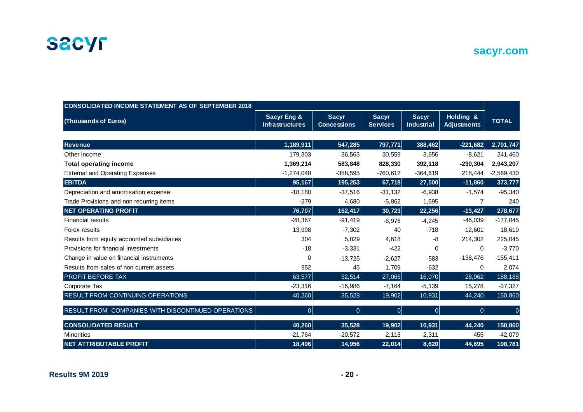

**sacyr.com**

| <b>CONSOLIDATED INCOME STATEMENT AS OF SEPTEMBER 2018</b> |                                                  |                                    |                                 |                                   |                                 |              |
|-----------------------------------------------------------|--------------------------------------------------|------------------------------------|---------------------------------|-----------------------------------|---------------------------------|--------------|
| (Thousands of Euros)                                      | <b>Sacyr Eng &amp;</b><br><b>Infrastructures</b> | <b>Sacyr</b><br><b>Concessions</b> | <b>Sacyr</b><br><b>Services</b> | <b>Sacyr</b><br><b>Industrial</b> | Holding &<br><b>Adjustments</b> | <b>TOTAL</b> |
|                                                           |                                                  |                                    |                                 |                                   |                                 |              |
| <b>Revenue</b>                                            | 1,189,911                                        | 547,285                            | 797,771                         | 388,462                           | $-221,682$                      | 2,701,747    |
| Other income                                              | 179,303                                          | 36,563                             | 30,559                          | 3,656                             | $-8,621$                        | 241,460      |
| <b>Total operating income</b>                             | 1,369,214                                        | 583,848                            | 828,330                         | 392,118                           | $-230,304$                      | 2,943,207    |
| <b>External and Operating Expenses</b>                    | $-1,274,048$                                     | $-388,595$                         | $-760,612$                      | $-364,619$                        | 218,444                         | $-2,569,430$ |
| <b>EBITDA</b>                                             | 95,167                                           | 195,253                            | 67,718                          | 27,500                            | $-11,860$                       | 373,777      |
| Depreciation and amortisation expense                     | $-18,180$                                        | $-37,516$                          | $-31,132$                       | $-6,938$                          | $-1,574$                        | $-95,340$    |
| Trade Provisions and non recurring items                  | $-279$                                           | 4,680                              | $-5,862$                        | 1,695                             | $\overline{7}$                  | 240          |
| <b>NET OPERATING PROFIT</b>                               | 76,707                                           | 162,417                            | 30,723                          | 22,256                            | $-13,427$                       | 278,677      |
| <b>Financial results</b>                                  | $-28,367$                                        | $-91,419$                          | $-6,976$                        | $-4,245$                          | $-46,039$                       | $-177,045$   |
| Forex results                                             | 13,998                                           | $-7,302$                           | 40                              | $-718$                            | 12,601                          | 18,619       |
| Results from equity accounted subsidiaries                | 304                                              | 5,829                              | 4,618                           | -8                                | 214,302                         | 225,045      |
| Provisions for financial investments                      | $-18$                                            | $-3,331$                           | $-422$                          | $\Omega$                          | 0                               | $-3,770$     |
| Change in value on financial instruments                  | $\mathbf 0$                                      | $-13,725$                          | $-2,627$                        | $-583$                            | $-138,476$                      | $-155,411$   |
| Results from sales of non current assets                  | 952                                              | 45                                 | 1,709                           | $-632$                            | 0                               | 2,074        |
| PROFIT BEFORE TAX                                         | 63,577                                           | 52,514                             | 27,065                          | 16,070                            | 28,962                          | 188,188      |
| Corporate Tax                                             | $-23,316$                                        | $-16,986$                          | $-7,164$                        | $-5,139$                          | 15,278                          | $-37,327$    |
| RESULT FROM CONTINUING OPERATIONS                         | 40,260                                           | 35,528                             | 19,902                          | 10,931                            | 44,240                          | 150,860      |
| RESULT FROM COMPANIES WITH DISCONTINUED OPERATIONS        | $\mathbf{0}$                                     | $\overline{0}$                     | $\overline{0}$                  | $\Omega$                          | $\overline{0}$                  |              |
| <b>CONSOLIDATED RESULT</b>                                | 40,260                                           | 35,528                             | 19,902                          | 10,931                            | 44,240                          | 150,860      |
| <b>Minorities</b>                                         | $-21,764$                                        | $-20,572$                          | 2,113                           | $-2,311$                          | 455                             | $-42,079$    |
| <b>NET ATTRIBUTABLE PROFIT</b>                            | 18,496                                           | 14,956                             | 22,014                          | 8,620                             | 44,695                          | 108,781      |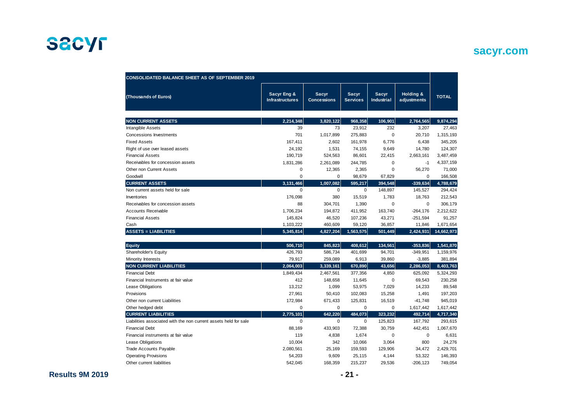## **sacyr.com**

| <b>CONSOLIDATED BALANCE SHEET AS OF SEPTEMBER 2019</b>           |                                       |                                    |                          |                                   |                          |              |
|------------------------------------------------------------------|---------------------------------------|------------------------------------|--------------------------|-----------------------------------|--------------------------|--------------|
| (Thousands of Euros)                                             | Sacyr Eng &<br><b>Infrastructures</b> | <b>Sacyr</b><br><b>Concessions</b> | Sacyr<br><b>Services</b> | <b>Sacyr</b><br><b>Industrial</b> | Holding &<br>adjustments | <b>TOTAL</b> |
| <b>NON CURRENT ASSETS</b>                                        | 2,214,348                             | 3,820,122                          | 968,358                  | 106,901                           | 2,764,565                | 9,874,294    |
| Intangible Assets                                                | 39                                    | 73                                 | 23,912                   | 232                               | 3,207                    | 27,463       |
| <b>Concessions Investments</b>                                   | 701                                   | 1,017,899                          | 275,883                  | 0                                 | 20,710                   | 1,315,193    |
| <b>Fixed Assets</b>                                              | 167,411                               | 2,602                              | 161,978                  | 6,776                             | 6,438                    | 345,205      |
| Right of use over leased assets                                  | 24.192                                | 1,531                              | 74,155                   | 9,649                             | 14,780                   | 124,307      |
| <b>Financial Assets</b>                                          | 190,719                               | 524,563                            | 86,601                   | 22,415                            | 2,663,161                | 3,487,459    |
| Receivables for concession assets                                | 1,831,286                             | 2,261,089                          | 244,785                  | 0                                 | $-1$                     | 4,337,159    |
| Other non Current Assets                                         | 0                                     | 12,365                             | 2,365                    | 0                                 | 56,270                   | 71,000       |
| Goodwill                                                         | $\mathbf 0$                           | $\mathbf 0$                        | 98.679                   | 67,829                            | $\mathbf 0$              | 166.508      |
| <b>CURRENT ASSETS</b>                                            | 3,131,466                             | 1,007,082                          | 595,217                  | 394,548                           | $-339.634$               | 4,788,679    |
| Non current assets held for sale                                 | $\mathbf 0$                           | $\pmb{0}$                          | $\mathbf 0$              | 148,897                           | 145,527                  | 294,424      |
| Inventories                                                      | 176,098                               | 380                                | 15,519                   | 1,783                             | 18,763                   | 212,543      |
| Receivables for concession assets                                | 88                                    | 304,701                            | 1,390                    | 0                                 | $\mathbf 0$              | 306,179      |
| <b>Accounts Receivable</b>                                       | 1,706,234                             | 194,872                            | 411,952                  | 163,740                           | $-264, 176$              | 2,212,622    |
| <b>Financial Assets</b>                                          | 145,824                               | 46,520                             | 107,236                  | 43,271                            | $-251,594$               | 91,257       |
| Cash                                                             | 1,103,222                             | 460,609                            | 59,120                   | 36,857                            | 11,846                   | 1,671,654    |
| <b>ASSETS = LIABILITIES</b>                                      | 5,345,814                             | 4,827,204                          | 1,563,575                | 501,449                           | 2,424,931                | 14,662,973   |
| <b>Equity</b>                                                    | 506,710                               | 845,823                            | 408,612                  | 134,561                           | $-353,836$               | 1,541,870    |
| Shareholder's Equity                                             | 426,793                               | 586,734                            | 401,699                  | 94,701                            | $-349,951$               | 1,159,976    |
| Minority Interests                                               | 79,917                                | 259,089                            | 6,913                    | 39,860                            | $-3,885$                 | 381,894      |
| <b>NON CURRENT LIABILITIES</b>                                   | 2,064,003                             | 3,339,161                          | 670,890                  | 43,656                            | 2,286,053                | 8,403,763    |
| <b>Financial Debt</b>                                            | 1,849,434                             | 2,467,561                          | 377,356                  | 4,850                             | 625,092                  | 5,324,293    |
| Financial Instruments at fair value                              | 412                                   | 148,658                            | 11,645                   | 0                                 | 69,543                   | 230,258      |
| Lease Obligations                                                | 13,212                                | 1,099                              | 53,975                   | 7,029                             | 14,233                   | 89,548       |
| Provisions                                                       | 27,961                                | 50,410                             | 102,083                  | 15,258                            | 1,491                    | 197,203      |
| Other non current Liabilities                                    | 172,984                               | 671,433                            | 125,831                  | 16,519                            | $-41,748$                | 945,019      |
| Other hedged debt                                                | $\mathbf 0$                           | $\Omega$                           | $\Omega$                 | 0                                 | 1,617,442                | 1,617,442    |
| <b>CURRENT LIABILITIES</b>                                       | 2,775,101                             | 642.220                            | 484,073                  | 323,232                           | 492,714                  | 4,717,340    |
| Liabilities associated with the non current assets held for sale | $\mathbf 0$                           | 0                                  | $\mathbf 0$              | 125,823                           | 167,792                  | 293,615      |
| <b>Financial Debt</b>                                            | 88,169                                | 433,903                            | 72,388                   | 30,759                            | 442,451                  | 1,067,670    |
| Financial instruments at fair value                              | 119                                   | 4,838                              | 1,674                    | 0                                 | $\mathbf 0$              | 6,631        |
| Lease Obligations                                                | 10,004                                | 342                                | 10,066                   | 3,064                             | 800                      | 24,276       |
| <b>Trade Accounts Payable</b>                                    | 2,080,561                             | 25,169                             | 159,593                  | 129,906                           | 34,472                   | 2,429,701    |
| <b>Operating Provisions</b>                                      | 54,203                                | 9,609                              | 25,115                   | 4,144                             | 53,322                   | 146,393      |
| Other current liabilities                                        | 542,045                               | 168,359                            | 215,237                  | 29,536                            | $-206, 123$              | 749,054      |

**Results 9M 2019 - 21 -**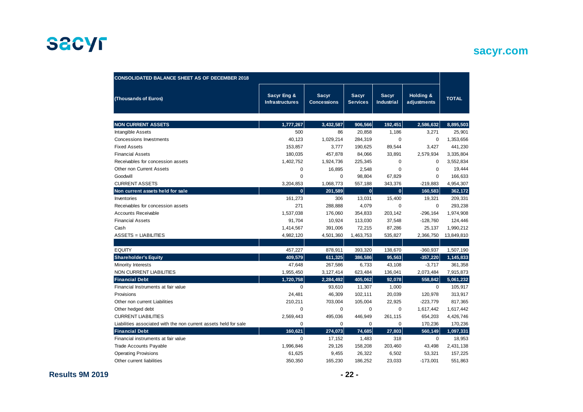## **sacyr.com**

| <b>CONSOLIDATED BALANCE SHEET AS OF DECEMBER 2018</b>            |                                       |                                    |                                 |                                   |                          |              |
|------------------------------------------------------------------|---------------------------------------|------------------------------------|---------------------------------|-----------------------------------|--------------------------|--------------|
| (Thousands of Euros)                                             | Sacyr Eng &<br><b>Infrastructures</b> | <b>Sacyr</b><br><b>Concessions</b> | <b>Sacyr</b><br><b>Services</b> | <b>Sacyr</b><br><b>Industrial</b> | Holding &<br>adjustments | <b>TOTAL</b> |
| <b>NON CURRENT ASSETS</b>                                        | 1,777,267                             | 3,432,587                          | 906,566                         | 192,451                           | 2,586,632                | 8,895,503    |
| Intangible Assets                                                | 500                                   | 86                                 | 20,858                          | 1,186                             | 3,271                    | 25,901       |
| Concessions Investments                                          | 40,123                                | 1,029,214                          | 284,319                         | $\Omega$                          | $\mathbf 0$              | 1,353,656    |
| <b>Fixed Assets</b>                                              | 153,857                               | 3,777                              | 190,625                         | 89,544                            | 3,427                    | 441,230      |
| <b>Financial Assets</b>                                          | 180,035                               | 457,878                            | 84,066                          | 33,891                            | 2,579,934                | 3,335,804    |
| Receivables for concession assets                                | 1,402,752                             | 1,924,736                          | 225,345                         | 0                                 | $\Omega$                 | 3,552,834    |
| Other non Current Assets                                         | 0                                     | 16,895                             | 2,548                           | $\Omega$                          | 0                        | 19,444       |
| Goodwill                                                         | 0                                     | 0                                  | 98,804                          | 67,829                            | 0                        | 166,633      |
| <b>CURRENT ASSETS</b>                                            | 3,204,853                             | 1,068,773                          | 557,188                         | 343,376                           | $-219,883$               | 4,954,307    |
| Non current assets held for sale                                 | $\mathbf{0}$                          | 201,589                            | $\mathbf{0}$                    | $\mathbf{0}$                      | 160,583                  | 362,172      |
| Inventories                                                      | 161,273                               | 306                                | 13,031                          | 15,400                            | 19,321                   | 209,331      |
| Receivables for concession assets                                | 271                                   | 288,888                            | 4,079                           | $\Omega$                          | $\mathbf 0$              | 293,238      |
| <b>Accounts Receivable</b>                                       | 1,537,038                             | 176,060                            | 354,833                         | 203,142                           | $-296,164$               | 1,974,908    |
| <b>Financial Assets</b>                                          | 91,704                                | 10,924                             | 113,030                         | 37,548                            | $-128,760$               | 124,446      |
| Cash                                                             | 1,414,567                             | 391,006                            | 72,215                          | 87,286                            | 25,137                   | 1,990,212    |
| <b>ASSETS = LIABILITIES</b>                                      | 4,982,120                             | 4,501,360                          | 1,463,753                       | 535,827                           | 2,366,750                | 13,849,810   |
|                                                                  |                                       |                                    |                                 |                                   |                          |              |
| <b>EQUITY</b>                                                    | 457,227                               | 878,911                            | 393,320                         | 138,670                           | $-360,937$               | 1,507,190    |
| <b>Shareholder's Equity</b>                                      | 409,579                               | 611,325                            | 386,586                         | 95,563                            | $-357,220$               | 1,145,833    |
| Minority Interests                                               | 47,648                                | 267,586                            | 6,733                           | 43,108                            | $-3,717$                 | 361,358      |
| <b>NON CURRENT LIABILITIES</b>                                   | 1,955,450                             | 3,127,414                          | 623,484                         | 136,041                           | 2,073,484                | 7,915,873    |
| <b>Financial Debt</b>                                            | 1,720,758                             | 2,284,492                          | 405,062                         | 92,078                            | 558,842                  | 5,061,232    |
| Financial Instruments at fair value                              | 0                                     | 93,610                             | 11,307                          | 1,000                             | 0                        | 105,917      |
| Provisions                                                       | 24,481                                | 46,309                             | 102,111                         | 20,039                            | 120,978                  | 313,917      |
| Other non current Liabilities                                    | 210,211                               | 703,004                            | 105,004                         | 22,925                            | $-223,779$               | 817,365      |
| Other hedged debt                                                | 0                                     | 0                                  | 0                               | $\mathbf 0$                       | 1,617,442                | 1,617,442    |
| <b>CURRENT LIABILITIES</b>                                       | 2,569,443                             | 495,036                            | 446,949                         | 261,115                           | 654,203                  | 4,426,746    |
| Liabilities associated with the non current assets held for sale | 0                                     | $\mathbf 0$                        | $\mathbf 0$                     | $\mathbf 0$                       | 170,236                  | 170,236      |
| <b>Financial Debt</b>                                            | 160.621                               | 274,073                            | 74,685                          | 27,803                            | 560,149                  | 1,097,331    |
| Financial instruments at fair value                              | 0                                     | 17,152                             | 1,483                           | 318                               | 0                        | 18,953       |
| <b>Trade Accounts Payable</b>                                    | 1,996,846                             | 29,126                             | 158,208                         | 203,460                           | 43,498                   | 2,431,138    |
| <b>Operating Provisions</b>                                      | 61,625                                | 9,455                              | 26,322                          | 6,502                             | 53,321                   | 157,225      |
| Other current liabilities                                        | 350,350                               | 165,230                            | 186,252                         | 23,033                            | $-173,001$               | 551,863      |

**Results 9M 2019 - 22 -**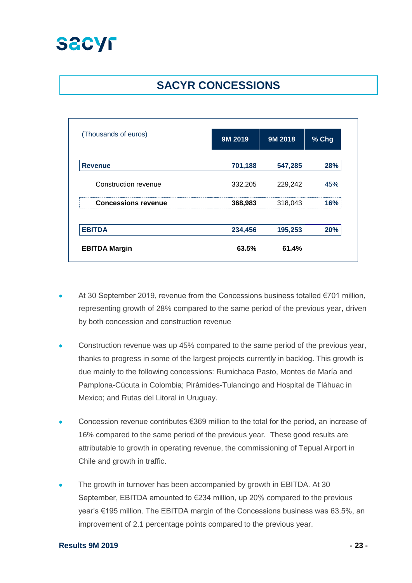

# **SACYR CONCESSIONS**

| (Thousands of euros)       | 9M 2019            | 9M 2018 | % Chg |
|----------------------------|--------------------|---------|-------|
| <b>Revenue</b>             | 701,188            | 547,285 | 28%   |
| Construction revenue       | 332,205            | 229,242 | 45%   |
| <b>Concessions revenue</b> | 318,043<br>368,983 |         | 16%   |
| <b>EBITDA</b>              | 234,456            | 195,253 | 20%   |
| <b>EBITDA Margin</b>       | 63.5%              | 61.4%   |       |

- At 30 September 2019, revenue from the Concessions business totalled €701 million, representing growth of 28% compared to the same period of the previous year, driven by both concession and construction revenue
- Construction revenue was up 45% compared to the same period of the previous year, thanks to progress in some of the largest projects currently in backlog. This growth is due mainly to the following concessions: Rumichaca Pasto, Montes de María and Pamplona-Cúcuta in Colombia; Pirámides-Tulancingo and Hospital de Tláhuac in Mexico; and Rutas del Litoral in Uruguay.
- Concession revenue contributes €369 million to the total for the period, an increase of 16% compared to the same period of the previous year. These good results are attributable to growth in operating revenue, the commissioning of Tepual Airport in Chile and growth in traffic.
- The growth in turnover has been accompanied by growth in EBITDA. At 30 September, EBITDA amounted to €234 million, up 20% compared to the previous year's €195 million. The EBITDA margin of the Concessions business was 63.5%, an improvement of 2.1 percentage points compared to the previous year.

#### **Results 9M 2019 - 23 -**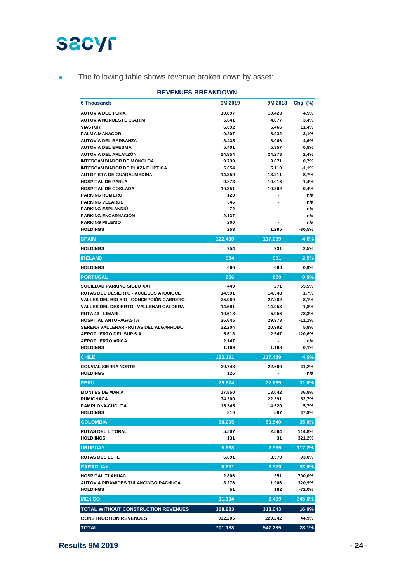• The following table shows revenue broken down by asset:

| <b>REVENUES BREAKDOWN</b>                                    |                 |                  |                    |  |
|--------------------------------------------------------------|-----------------|------------------|--------------------|--|
| € Thousands                                                  | 9M 2019         | 9M 2018          | Chg. (%)           |  |
| <b>AUTOVÍA DEL TURIA</b>                                     | 10.897          | 10.423           | 4,5%               |  |
| <b>AUTOVÍA NOROESTE C.A.R.M.</b>                             | 5.041           | 4.877            | 3,4%               |  |
| <b>VIASTUR</b>                                               | 6.092           | 5.466            | 11,4%              |  |
| <b>PALMA MANACOR</b>                                         | 9.207           | 8.932            | 3,1%               |  |
| AUTOVÍA DEL BARBANZA                                         | 8.435           | 8.066            | 4,6%               |  |
| <b>AUTOVÍA DEL ERESMA</b>                                    | 5.401           | 5.357            | 0,8%               |  |
| AUTOVÍA DEL ARLANZÓN                                         | 24.854          | 24.273           | 2,4%               |  |
| <b>INTERCAMBIADOR DE MONCLOA</b>                             | 9.739           | 9.671            | 0,7%               |  |
| INTERCAMBIADOR DE PLAZA ELÍPTICA                             | 5.054           | 5.110            | $-1,1%$            |  |
| <b>AUTOPISTA DE GUADALMEDINA</b><br><b>HOSPITAL DE PARLA</b> | 14.359<br>9.873 | 13.211<br>10.016 | 8,7%               |  |
| <b>HOSPITAL DE COSLADA</b>                                   | 10.351          | 10.392           | $-1,4%$<br>$-0,4%$ |  |
| <b>PARKING ROMERO</b>                                        | 120             |                  | n/a                |  |
| <b>PARKING VELARDE</b>                                       | 346             |                  | n/a                |  |
| <b>PARKING ESPLANDIU</b>                                     | 72              |                  | n/a                |  |
| <b>PARKING ENCARNACIÓN</b>                                   | 2.137           |                  | n/a                |  |
| <b>PARKING MILENIO</b>                                       | 200             |                  | n/a                |  |
| <b>HOLDINGS</b>                                              | 253             | 1.295            | $-80,5%$           |  |
| <b>SPAIN</b>                                                 | 122.430         | 117.089          | 4,6%               |  |
| <b>HOLDINGS</b>                                              | 954             | 931              | 2,5%               |  |
| <b>IRELAND</b>                                               | 954             | 931              | 2,5%               |  |
| <b>HOLDINGS</b>                                              | 666             | 660              | 0,9%               |  |
| <b>PORTUGAL</b>                                              | 666             | 660              | 0,9%               |  |
| <b>SOCIEDAD PARKING SIGLO XXI</b>                            | 449             | 271              | 65,5%              |  |
| <b>RUTAS DEL DESIERTO - ACCESOS A IQUIQUE</b>                | 14.591          | 14.348           | 1,7%               |  |
| <b>VALLES DEL BIO BIO - CONCEPCIÓN CABRERO</b>               | 25.060          | 27.282           | $-8,1%$            |  |
| <b>VALLES DEL DESIERTO - VALLENAR CALDERA</b>                | 14.691          | 14.953           | $-1,8%$            |  |
| <b>RUTA 43 - LIMARI</b>                                      | 10.618          | 5.956            | 78,3%              |  |
| <b>HOSPITAL ANTOFAGASTA</b>                                  | 26.645          | 29.973           | $-11,1%$           |  |
| SERENA VALLENAR - RUTAS DEL ALGARROBO                        | 22.204          | 20.992           | 5,8%               |  |
| AEROPUERTO DEL SUR S.A.                                      | 5.618           | 2.547            | 120,6%             |  |
| <b>AEROPUERTO ARICA</b>                                      | 2.147           |                  | n/a                |  |
| <b>HOLDINGS</b>                                              | 1.169           | 1.168            | 0,1%               |  |
| <b>CHILE</b>                                                 | 123.191         | 117.489          | 4,9%               |  |
| <b>CONVIAL SIERRA NORTE</b>                                  | 29.748          | 22.669           | 31,2%              |  |
| <b>HOLDINGS</b>                                              | 126             |                  | n/a                |  |
| <b>PERU</b>                                                  | 29.874          | 22.669           | 31,8%              |  |
| <b>MONTES DE MARÍA</b>                                       | 17.850          | 13.042           | 36,9%              |  |
| <b>RUMICHACA</b>                                             | 34.200          | 22.391           | 52,7%              |  |
| <b>PAMPLONA-CUCUTA</b>                                       | 15.345          | 14.520           | 5,7%               |  |
| <b>HOLDINGS</b>                                              | 810             | 587              | 37,9%              |  |
| <b>COLOMBIA</b>                                              | 68.205          | 50.540           | 35,0%              |  |
| <b>RUTAS DEL LITORAL</b><br><b>HOLDIINGS</b>                 | 5.507<br>131    | 2.564<br>31      | 114,8%<br>321,2%   |  |
| <b>URUGUAY</b>                                               | 5.638           | 2.595            | 117,2%             |  |
| <b>RUTAS DEL ESTE</b>                                        | 6.891           | 3.570            | 93,0%              |  |
| <b>PARAGUAY</b>                                              | 6.891           | 3.570            | 93,0%              |  |
| <b>HOSPITAL TLAHUAC</b>                                      | 2.806           | 351              | 700,0%             |  |
| AUTOVIA PIRÁMIDES TULANCINGO PACHUCA                         | 8.276           | 1.966            | 320,9%             |  |
| <b>HOLDINGS</b>                                              | 51              | 182              | -72,0%             |  |
| <b>MEXICO</b>                                                | 11.134          | 2.499            | 345,6%             |  |
| TOTAL WITHOUT CONSTRUCTION REVENUES                          | 368.983         | 318.043          | 16,0%              |  |
| <b>CONSTRUCTION REVENUES</b>                                 | 332.205         | 229.242          | 44,9%              |  |
| <b>TOTAL</b>                                                 | 701.188         | 547.285          | 28,1%              |  |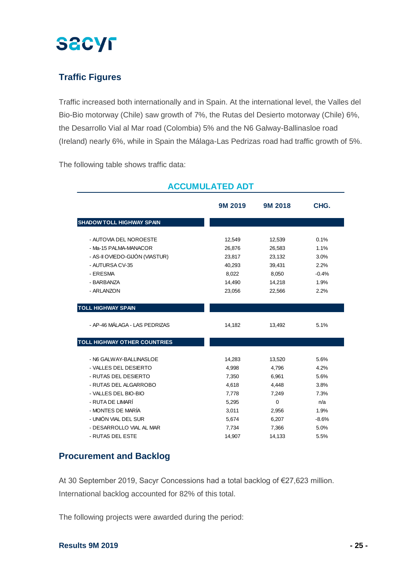

## **Traffic Figures**

Traffic increased both internationally and in Spain. At the international level, the Valles del Bio-Bio motorway (Chile) saw growth of 7%, the Rutas del Desierto motorway (Chile) 6%, the Desarrollo Vial al Mar road (Colombia) 5% and the N6 Galway-Ballinasloe road (Ireland) nearly 6%, while in Spain the Málaga-Las Pedrizas road had traffic growth of 5%.

The following table shows traffic data:

|                                  | 9M 2019 | 9M 2018  | CHG.    |
|----------------------------------|---------|----------|---------|
| <b>SHADOW TOLL HIGHWAY SPAIN</b> |         |          |         |
|                                  |         |          |         |
| - AUTOVIA DEL NOROESTE           | 12,549  | 12,539   | 0.1%    |
| - Ma-15 PALMA-MANACOR            | 26,876  | 26,583   | 1.1%    |
| - AS-II OVIEDO-GIJÓN (VIASTUR)   | 23,817  | 23,132   | 3.0%    |
| - AUTURSA CV-35                  | 40,293  | 39,431   | 2.2%    |
| - ERESMA                         | 8,022   | 8,050    | $-0.4%$ |
| - BARBANZA                       | 14,490  | 14,218   | 1.9%    |
| - ARLANZON                       | 23,056  | 22,566   | 2.2%    |
|                                  |         |          |         |
| <b>TOLL HIGHWAY SPAIN</b>        |         |          |         |
| - AP-46 MÁLAGA - LAS PEDRIZAS    | 14,182  | 13,492   | 5.1%    |
| TOLL HIGHWAY OTHER COUNTRIES     |         |          |         |
| - N6 GALWAY-BALLINASLOE          | 14,283  | 13,520   | 5.6%    |
| - VALLES DEL DESIERTO            | 4,998   | 4,796    | 4.2%    |
| - RUTAS DEL DESIERTO             | 7,350   | 6,961    | 5.6%    |
| - RUTAS DEL ALGARROBO            | 4,618   | 4,448    | 3.8%    |
| - VALLES DEL BIO-BIO             | 7,778   | 7,249    | 7.3%    |
| - RUTA DE LIMARÍ                 | 5,295   | $\Omega$ | n/a     |
| - MONTES DE MARÍA                | 3,011   | 2,956    | 1.9%    |
| - UNIÓN VIAL DEL SUR             | 5,674   | 6,207    | $-8.6%$ |
| - DESARROLLO VIAL AL MAR         | 7,734   | 7,366    | 5.0%    |
| - RUTAS DEL ESTE                 | 14,907  | 14,133   | 5.5%    |

### **ACCUMULATED ADT**

### **Procurement and Backlog**

At 30 September 2019, Sacyr Concessions had a total backlog of €27,623 million. International backlog accounted for 82% of this total.

The following projects were awarded during the period: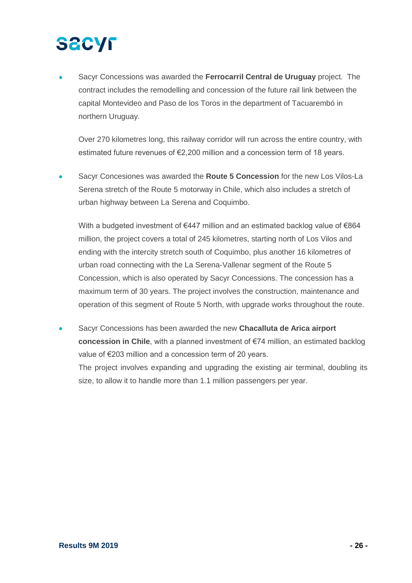# **SECYF**

• Sacyr Concessions was awarded the **Ferrocarril Central de Uruguay** project. The contract includes the remodelling and concession of the future rail link between the capital Montevideo and Paso de los Toros in the department of Tacuarembó in northern Uruguay.

Over 270 kilometres long, this railway corridor will run across the entire country, with estimated future revenues of €2,200 million and a concession term of 18 years.

• Sacyr Concesiones was awarded the **Route 5 Concession** for the new Los Vilos-La Serena stretch of the Route 5 motorway in Chile, which also includes a stretch of urban highway between La Serena and Coquimbo.

With a budgeted investment of  $\epsilon$ 447 million and an estimated backlog value of  $\epsilon$ 864 million, the project covers a total of 245 kilometres, starting north of Los Vilos and ending with the intercity stretch south of Coquimbo, plus another 16 kilometres of urban road connecting with the La Serena-Vallenar segment of the Route 5 Concession, which is also operated by Sacyr Concessions. The concession has a maximum term of 30 years. The project involves the construction, maintenance and operation of this segment of Route 5 North, with upgrade works throughout the route.

• Sacyr Concessions has been awarded the new **Chacalluta de Arica airport concession in Chile**, with a planned investment of €74 million, an estimated backlog value of €203 million and a concession term of 20 years.

The project involves expanding and upgrading the existing air terminal, doubling its size, to allow it to handle more than 1.1 million passengers per year.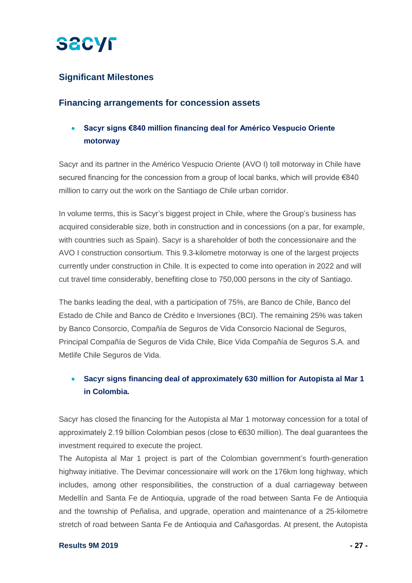

### **Significant Milestones**

### **Financing arrangements for concession assets**

## • **Sacyr signs €840 million financing deal for Américo Vespucio Oriente motorway**

Sacyr and its partner in the Américo Vespucio Oriente (AVO I) toll motorway in Chile have secured financing for the concession from a group of local banks, which will provide €840 million to carry out the work on the Santiago de Chile urban corridor.

In volume terms, this is Sacyr's biggest project in Chile, where the Group's business has acquired considerable size, both in construction and in concessions (on a par, for example, with countries such as Spain). Sacyr is a shareholder of both the concessionaire and the AVO I construction consortium. This 9.3-kilometre motorway is one of the largest projects currently under construction in Chile. It is expected to come into operation in 2022 and will cut travel time considerably, benefiting close to 750,000 persons in the city of Santiago.

The banks leading the deal, with a participation of 75%, are Banco de Chile, Banco del Estado de Chile and Banco de Crédito e Inversiones (BCI). The remaining 25% was taken by Banco Consorcio, Compañía de Seguros de Vida Consorcio Nacional de Seguros, Principal Compañía de Seguros de Vida Chile, Bice Vida Compañía de Seguros S.A. and Metlife Chile Seguros de Vida.

## • **Sacyr signs financing deal of approximately 630 million for Autopista al Mar 1 in Colombia.**

Sacyr has closed the financing for the Autopista al Mar 1 motorway concession for a total of approximately 2.19 billion Colombian pesos (close to €630 million). The deal guarantees the investment required to execute the project.

The Autopista al Mar 1 project is part of the Colombian government's fourth-generation highway initiative. The Devimar concessionaire will work on the 176km long highway, which includes, among other responsibilities, the construction of a dual carriageway between Medellín and Santa Fe de Antioquia, upgrade of the road between Santa Fe de Antioquia and the township of Peñalisa, and upgrade, operation and maintenance of a 25-kilometre stretch of road between Santa Fe de Antioquia and Cañasgordas. At present, the Autopista

#### **Results 9M 2019 - 27 -**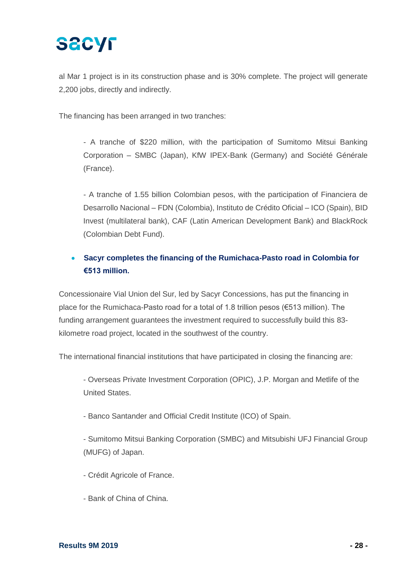al Mar 1 project is in its construction phase and is 30% complete. The project will generate 2,200 jobs, directly and indirectly.

The financing has been arranged in two tranches:

- A tranche of \$220 million, with the participation of Sumitomo Mitsui Banking Corporation – SMBC (Japan), KfW IPEX-Bank (Germany) and Société Générale (France).

- A tranche of 1.55 billion Colombian pesos, with the participation of Financiera de Desarrollo Nacional – FDN (Colombia), Instituto de Crédito Oficial – ICO (Spain), BID Invest (multilateral bank), CAF (Latin American Development Bank) and BlackRock (Colombian Debt Fund).

## • **Sacyr completes the financing of the Rumichaca-Pasto road in Colombia for €513 million.**

Concessionaire Vial Union del Sur, led by Sacyr Concessions, has put the financing in place for the Rumichaca-Pasto road for a total of 1.8 trillion pesos (€513 million). The funding arrangement guarantees the investment required to successfully build this 83 kilometre road project, located in the southwest of the country.

The international financial institutions that have participated in closing the financing are:

- Overseas Private Investment Corporation (OPIC), J.P. Morgan and Metlife of the United States.

- Banco Santander and Official Credit Institute (ICO) of Spain.

- Sumitomo Mitsui Banking Corporation (SMBC) and Mitsubishi UFJ Financial Group (MUFG) of Japan.

- Crédit Agricole of France.

- Bank of China of China.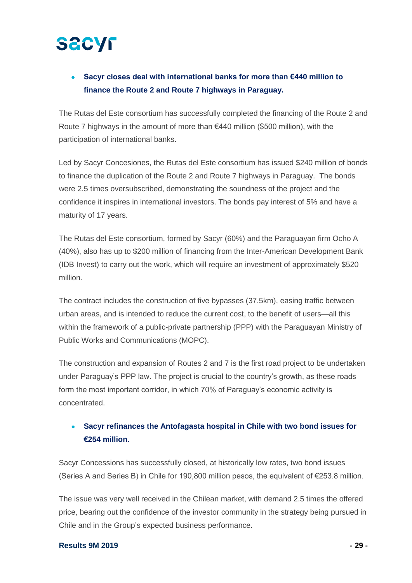## • **Sacyr closes deal with international banks for more than €440 million to finance the Route 2 and Route 7 highways in Paraguay.**

The Rutas del Este consortium has successfully completed the financing of the Route 2 and Route 7 highways in the amount of more than  $€440$  million (\$500 million), with the participation of international banks.

Led by Sacyr Concesiones, the Rutas del Este consortium has issued \$240 million of bonds to finance the duplication of the Route 2 and Route 7 highways in Paraguay. The bonds were 2.5 times oversubscribed, demonstrating the soundness of the project and the confidence it inspires in international investors. The bonds pay interest of 5% and have a maturity of 17 years.

The Rutas del Este consortium, formed by Sacyr (60%) and the Paraguayan firm Ocho A (40%), also has up to \$200 million of financing from the Inter-American Development Bank (IDB Invest) to carry out the work, which will require an investment of approximately \$520 million.

The contract includes the construction of five bypasses (37.5km), easing traffic between urban areas, and is intended to reduce the current cost, to the benefit of users—all this within the framework of a public-private partnership (PPP) with the Paraguayan Ministry of Public Works and Communications (MOPC).

The construction and expansion of Routes 2 and 7 is the first road project to be undertaken under Paraguay's PPP law. The project is crucial to the country's growth, as these roads form the most important corridor, in which 70% of Paraguay's economic activity is concentrated.

## • **Sacyr refinances the Antofagasta hospital in Chile with two bond issues for €254 million.**

Sacyr Concessions has successfully closed, at historically low rates, two bond issues (Series A and Series B) in Chile for 190,800 million pesos, the equivalent of €253.8 million.

The issue was very well received in the Chilean market, with demand 2.5 times the offered price, bearing out the confidence of the investor community in the strategy being pursued in Chile and in the Group's expected business performance.

#### **Results 9M 2019 - 29 -**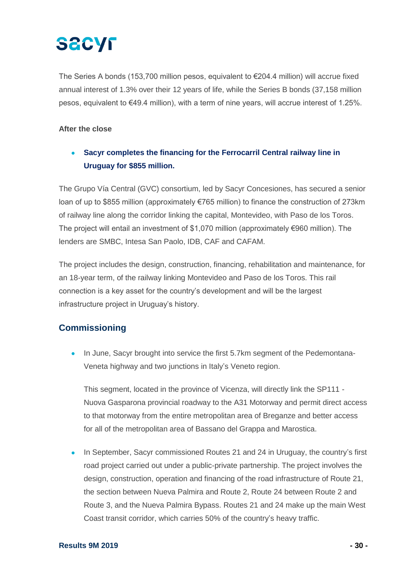# **SACYF**

The Series A bonds (153,700 million pesos, equivalent to €204.4 million) will accrue fixed annual interest of 1.3% over their 12 years of life, while the Series B bonds (37,158 million pesos, equivalent to €49.4 million), with a term of nine years, will accrue interest of 1.25%.

#### **After the close**

• **Sacyr completes the financing for the Ferrocarril Central railway line in Uruguay for \$855 million.**

The Grupo Vía Central (GVC) consortium, led by Sacyr Concesiones, has secured a senior loan of up to \$855 million (approximately €765 million) to finance the construction of 273km of railway line along the corridor linking the capital, Montevideo, with Paso de los Toros. The project will entail an investment of \$1,070 million (approximately €960 million). The lenders are SMBC, Intesa San Paolo, IDB, CAF and CAFAM.

The project includes the design, construction, financing, rehabilitation and maintenance, for an 18-year term, of the railway linking Montevideo and Paso de los Toros. This rail connection is a key asset for the country's development and will be the largest infrastructure project in Uruguay's history.

## **Commissioning**

• In June, Sacyr brought into service the first 5.7km segment of the Pedemontana-Veneta highway and two junctions in Italy's Veneto region.

This segment, located in the province of Vicenza, will directly link the SP111 - Nuova Gasparona provincial roadway to the A31 Motorway and permit direct access to that motorway from the entire metropolitan area of Breganze and better access for all of the metropolitan area of Bassano del Grappa and Marostica.

• In September, Sacyr commissioned Routes 21 and 24 in Uruguay, the country's first road project carried out under a public-private partnership. The project involves the design, construction, operation and financing of the road infrastructure of Route 21, the section between Nueva Palmira and Route 2, Route 24 between Route 2 and Route 3, and the Nueva Palmira Bypass. Routes 21 and 24 make up the main West Coast transit corridor, which carries 50% of the country's heavy traffic.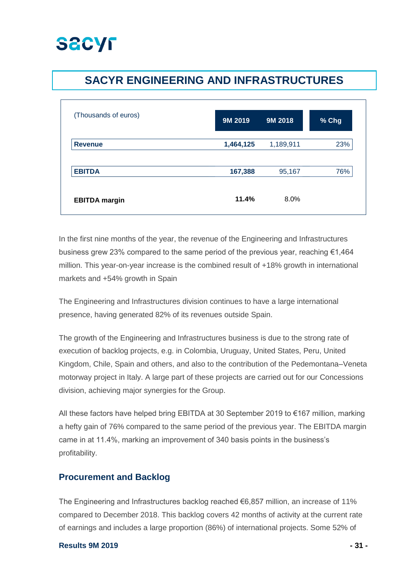

## **SACYR ENGINEERING AND INFRASTRUCTURES**

| (Thousands of euros) | 9M 2019   | 9M 2018   | % Chg |
|----------------------|-----------|-----------|-------|
| <b>Revenue</b>       | 1,464,125 | 1,189,911 | 23%   |
| <b>EBITDA</b>        | 167,388   | 95,167    | 76%   |
| <b>EBITDA</b> margin | 11.4%     | 8.0%      |       |

In the first nine months of the year, the revenue of the Engineering and Infrastructures business grew 23% compared to the same period of the previous year, reaching  $\epsilon$ 1,464 million. This year-on-year increase is the combined result of +18% growth in international markets and +54% growth in Spain

The Engineering and Infrastructures division continues to have a large international presence, having generated 82% of its revenues outside Spain.

The growth of the Engineering and Infrastructures business is due to the strong rate of execution of backlog projects, e.g. in Colombia, Uruguay, United States, Peru, United Kingdom, Chile, Spain and others, and also to the contribution of the Pedemontana–Veneta motorway project in Italy. A large part of these projects are carried out for our Concessions division, achieving major synergies for the Group.

All these factors have helped bring EBITDA at 30 September 2019 to €167 million, marking a hefty gain of 76% compared to the same period of the previous year. The EBITDA margin came in at 11.4%, marking an improvement of 340 basis points in the business's profitability.

### **Procurement and Backlog**

The Engineering and Infrastructures backlog reached  $\epsilon$ 6,857 million, an increase of 11% compared to December 2018. This backlog covers 42 months of activity at the current rate of earnings and includes a large proportion (86%) of international projects. Some 52% of

#### **Results 9M 2019 - 31 -**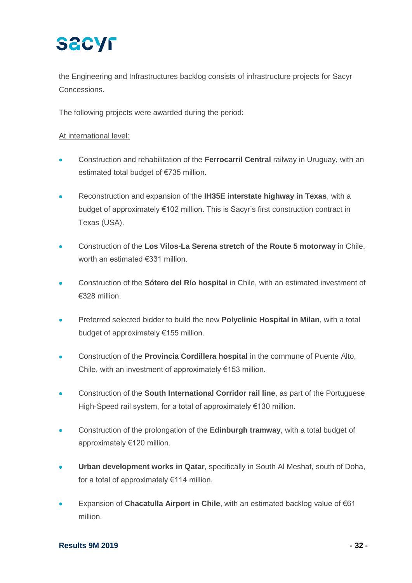the Engineering and Infrastructures backlog consists of infrastructure projects for Sacyr Concessions.

The following projects were awarded during the period:

### At international level:

- Construction and rehabilitation of the **Ferrocarril Central** railway in Uruguay, with an estimated total budget of €735 million.
- Reconstruction and expansion of the **IH35E interstate highway in Texas**, with a budget of approximately €102 million. This is Sacyr's first construction contract in Texas (USA).
- Construction of the **Los Vilos-La Serena stretch of the Route 5 motorway** in Chile, worth an estimated €331 million.
- Construction of the **Sótero del Río hospital** in Chile, with an estimated investment of €328 million.
- Preferred selected bidder to build the new **Polyclinic Hospital in Milan**, with a total budget of approximately €155 million.
- Construction of the **Provincia Cordillera hospital** in the commune of Puente Alto, Chile, with an investment of approximately €153 million.
- Construction of the **South International Corridor rail line**, as part of the Portuguese High-Speed rail system, for a total of approximately €130 million.
- Construction of the prolongation of the **Edinburgh tramway**, with a total budget of approximately €120 million.
- **Urban development works in Qatar**, specifically in South Al Meshaf, south of Doha, for a total of approximately €114 million.
- Expansion of **Chacatulla Airport in Chile**, with an estimated backlog value of €61 million.

#### **Results 9M 2019 - 32 -**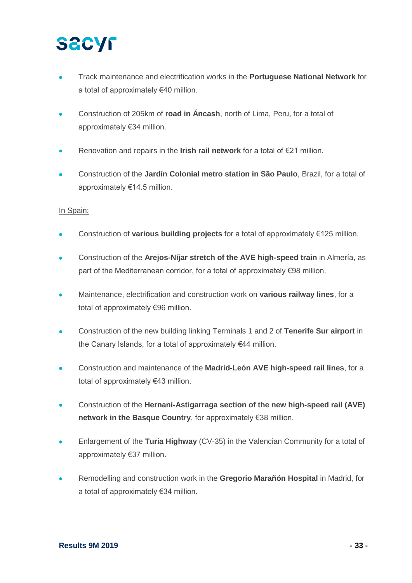- Track maintenance and electrification works in the **Portuguese National Network** for a total of approximately €40 million.
- Construction of 205km of **road in Áncash**, north of Lima, Peru, for a total of approximately €34 million.
- Renovation and repairs in the **Irish rail network** for a total of €21 million.
- Construction of the **Jardín Colonial metro station in São Paulo**, Brazil, for a total of approximately €14.5 million.

### In Spain:

- Construction of **various building projects** for a total of approximately €125 million.
- Construction of the **Arejos-Níjar stretch of the AVE high-speed train** in Almería, as part of the Mediterranean corridor, for a total of approximately €98 million.
- Maintenance, electrification and construction work on **various railway lines**, for a total of approximately €96 million.
- Construction of the new building linking Terminals 1 and 2 of **Tenerife Sur airport** in the Canary Islands, for a total of approximately €44 million.
- Construction and maintenance of the **Madrid-León AVE high-speed rail lines**, for a total of approximately €43 million.
- Construction of the **Hernani-Astigarraga section of the new high-speed rail (AVE) network in the Basque Country**, for approximately €38 million.
- Enlargement of the **Turia Highway** (CV-35) in the Valencian Community for a total of approximately €37 million.
- Remodelling and construction work in the **Gregorio Marañón Hospital** in Madrid, for a total of approximately €34 million.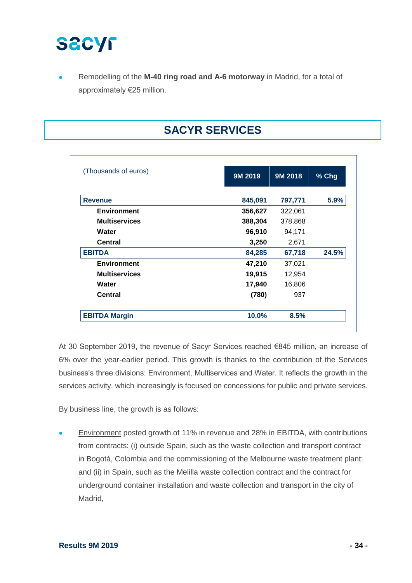

• Remodelling of the **M-40 ring road and A-6 motorway** in Madrid, for a total of approximately €25 million.

# **SACYR SERVICES**

| (Thousands of euros) | 9M 2019 | 9M 2018 | % Chg |
|----------------------|---------|---------|-------|
| <b>Revenue</b>       | 845,091 | 797,771 | 5.9%  |
| <b>Environment</b>   | 356,627 | 322,061 |       |
| <b>Multiservices</b> | 388,304 | 378,868 |       |
| Water                | 96,910  | 94,171  |       |
| Central              | 3,250   | 2,671   |       |
| <b>EBITDA</b>        | 84,285  | 67,718  | 24.5% |
| <b>Environment</b>   | 47,210  | 37,021  |       |
| <b>Multiservices</b> | 19,915  | 12,954  |       |
| Water                | 17,940  | 16,806  |       |
| <b>Central</b>       | (780)   | 937     |       |
| <b>EBITDA Margin</b> | 10.0%   | 8.5%    |       |

At 30 September 2019, the revenue of Sacyr Services reached €845 million, an increase of 6% over the year-earlier period. This growth is thanks to the contribution of the Services business's three divisions: Environment, Multiservices and Water. It reflects the growth in the services activity, which increasingly is focused on concessions for public and private services.

By business line, the growth is as follows:

Environment posted growth of 11% in revenue and 28% in EBITDA, with contributions from contracts: (i) outside Spain, such as the waste collection and transport contract in Bogotá, Colombia and the commissioning of the Melbourne waste treatment plant; and (ii) in Spain, such as the Melilla waste collection contract and the contract for underground container installation and waste collection and transport in the city of Madrid,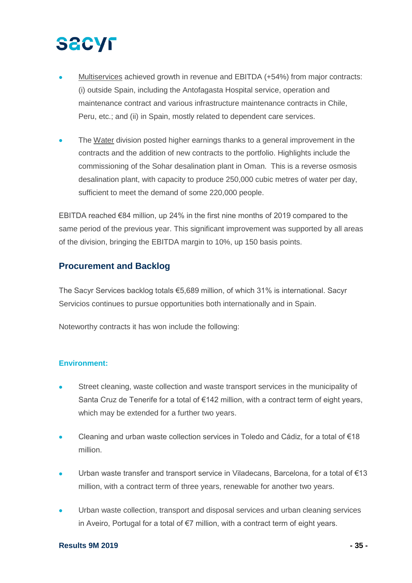# **SECYF**

- Multiservices achieved growth in revenue and EBITDA (+54%) from major contracts: (i) outside Spain, including the Antofagasta Hospital service, operation and maintenance contract and various infrastructure maintenance contracts in Chile, Peru, etc.; and (ii) in Spain, mostly related to dependent care services.
- The Water division posted higher earnings thanks to a general improvement in the contracts and the addition of new contracts to the portfolio. Highlights include the commissioning of the Sohar desalination plant in Oman. This is a reverse osmosis desalination plant, with capacity to produce 250,000 cubic metres of water per day, sufficient to meet the demand of some 220,000 people.

EBITDA reached €84 million, up 24% in the first nine months of 2019 compared to the same period of the previous year. This significant improvement was supported by all areas of the division, bringing the EBITDA margin to 10%, up 150 basis points.

### **Procurement and Backlog**

The Sacyr Services backlog totals €5,689 million, of which 31% is international. Sacyr Servicios continues to pursue opportunities both internationally and in Spain.

Noteworthy contracts it has won include the following:

### **Environment:**

- Street cleaning, waste collection and waste transport services in the municipality of Santa Cruz de Tenerife for a total of €142 million, with a contract term of eight years, which may be extended for a further two years.
- Cleaning and urban waste collection services in Toledo and Cádiz, for a total of €18 million.
- Urban waste transfer and transport service in Viladecans, Barcelona, for a total of €13 million, with a contract term of three years, renewable for another two years.
- Urban waste collection, transport and disposal services and urban cleaning services in Aveiro, Portugal for a total of €7 million, with a contract term of eight years.

#### **Results 9M 2019 - 35 -**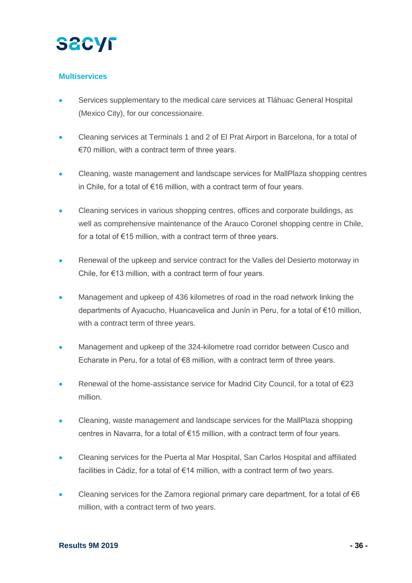

#### **Multiservices**

- Services supplementary to the medical care services at Tláhuac General Hospital (Mexico City), for our concessionaire.
- Cleaning services at Terminals 1 and 2 of El Prat Airport in Barcelona, for a total of €70 million, with a contract term of three years.
- Cleaning, waste management and landscape services for MallPlaza shopping centres in Chile, for a total of €16 million, with a contract term of four years.
- Cleaning services in various shopping centres, offices and corporate buildings, as well as comprehensive maintenance of the Arauco Coronel shopping centre in Chile, for a total of €15 million, with a contract term of three years.
- Renewal of the upkeep and service contract for the Valles del Desierto motorway in Chile, for €13 million, with a contract term of four years.
- Management and upkeep of 436 kilometres of road in the road network linking the departments of Ayacucho, Huancavelica and Junín in Peru, for a total of €10 million, with a contract term of three years.
- Management and upkeep of the 324-kilometre road corridor between Cusco and Echarate in Peru, for a total of €8 million, with a contract term of three years.
- Renewal of the home-assistance service for Madrid City Council, for a total of €23 million.
- Cleaning, waste management and landscape services for the MallPlaza shopping centres in Navarra, for a total of €15 million, with a contract term of four years.
- Cleaning services for the Puerta al Mar Hospital, San Carlos Hospital and affiliated facilities in Cádiz, for a total of €14 million, with a contract term of two years.
- Cleaning services for the Zamora regional primary care department, for a total of  $€6$ million, with a contract term of two years.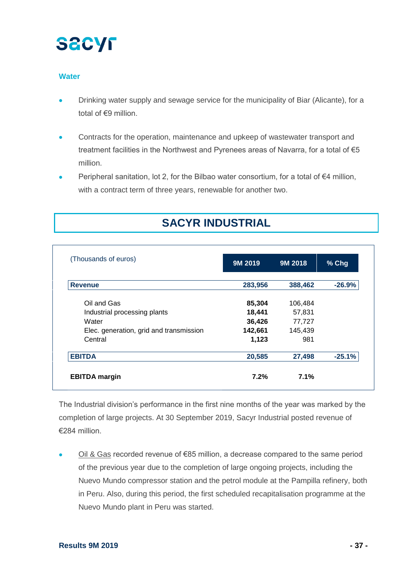

#### **Water**

- Drinking water supply and sewage service for the municipality of Biar (Alicante), for a total of €9 million.
- Contracts for the operation, maintenance and upkeep of wastewater transport and treatment facilities in the Northwest and Pyrenees areas of Navarra, for a total of €5 million.
- Peripheral sanitation, lot 2, for the Bilbao water consortium, for a total of €4 million, with a contract term of three years, renewable for another two.

# **SACYR INDUSTRIAL**

| (Thousands of euros)                    | 9M 2019 | 9M 2018 | % Chg    |
|-----------------------------------------|---------|---------|----------|
| <b>Revenue</b>                          | 283,956 | 388,462 | $-26.9%$ |
| Oil and Gas                             | 85,304  | 106,484 |          |
| Industrial processing plants            | 18,441  | 57,831  |          |
| Water                                   | 36,426  | 77,727  |          |
| Elec. generation, grid and transmission | 142,661 | 145,439 |          |
| Central                                 | 1,123   | 981     |          |
| <b>EBITDA</b>                           | 20,585  | 27,498  | $-25.1%$ |
| <b>EBITDA</b> margin                    | 7.2%    | 7.1%    |          |

The Industrial division's performance in the first nine months of the year was marked by the completion of large projects. At 30 September 2019, Sacyr Industrial posted revenue of €284 million.

• Oil & Gas recorded revenue of €85 million, a decrease compared to the same period of the previous year due to the completion of large ongoing projects, including the Nuevo Mundo compressor station and the petrol module at the Pampilla refinery, both in Peru. Also, during this period, the first scheduled recapitalisation programme at the Nuevo Mundo plant in Peru was started.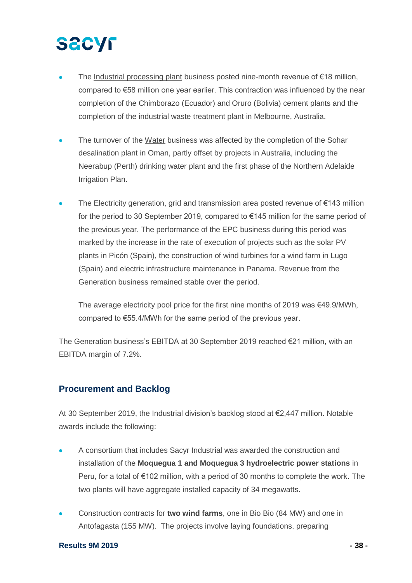# **SECYF**

- The Industrial processing plant business posted nine-month revenue of €18 million, compared to €58 million one year earlier. This contraction was influenced by the near completion of the Chimborazo (Ecuador) and Oruro (Bolivia) cement plants and the completion of the industrial waste treatment plant in Melbourne, Australia.
- The turnover of the Water business was affected by the completion of the Sohar desalination plant in Oman, partly offset by projects in Australia, including the Neerabup (Perth) drinking water plant and the first phase of the Northern Adelaide Irrigation Plan.
- The Electricity generation, grid and transmission area posted revenue of  $€143$  million for the period to 30 September 2019, compared to €145 million for the same period of the previous year. The performance of the EPC business during this period was marked by the increase in the rate of execution of projects such as the solar PV plants in Picón (Spain), the construction of wind turbines for a wind farm in Lugo (Spain) and electric infrastructure maintenance in Panama. Revenue from the Generation business remained stable over the period.

The average electricity pool price for the first nine months of 2019 was €49.9/MWh, compared to €55.4/MWh for the same period of the previous year.

The Generation business's EBITDA at 30 September 2019 reached €21 million, with an EBITDA margin of 7.2%.

### **Procurement and Backlog**

At 30 September 2019, the Industrial division's backlog stood at €2,447 million. Notable awards include the following:

- A consortium that includes Sacyr Industrial was awarded the construction and installation of the **Moquegua 1 and Moquegua 3 hydroelectric power stations** in Peru, for a total of €102 million, with a period of 30 months to complete the work. The two plants will have aggregate installed capacity of 34 megawatts.
- Construction contracts for **two wind farms**, one in Bio Bio (84 MW) and one in Antofagasta (155 MW). The projects involve laying foundations, preparing

#### **Results 9M 2019 - 38 -**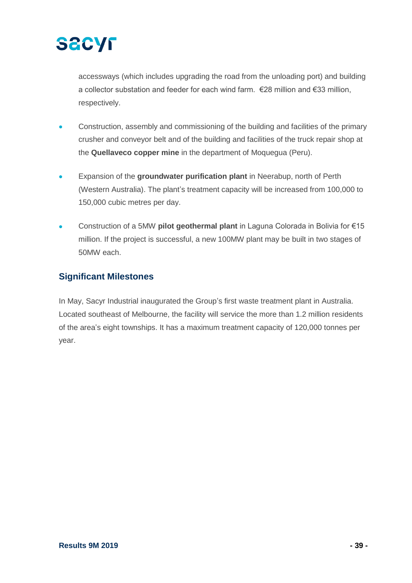

accessways (which includes upgrading the road from the unloading port) and building a collector substation and feeder for each wind farm. €28 million and €33 million, respectively.

- Construction, assembly and commissioning of the building and facilities of the primary crusher and conveyor belt and of the building and facilities of the truck repair shop at the **Quellaveco copper mine** in the department of Moquegua (Peru).
- Expansion of the **groundwater purification plant** in Neerabup, north of Perth (Western Australia). The plant's treatment capacity will be increased from 100,000 to 150,000 cubic metres per day.
- Construction of a 5MW **pilot geothermal plant** in Laguna Colorada in Bolivia for €15 million. If the project is successful, a new 100MW plant may be built in two stages of 50MW each.

### **Significant Milestones**

In May, Sacyr Industrial inaugurated the Group's first waste treatment plant in Australia. Located southeast of Melbourne, the facility will service the more than 1.2 million residents of the area's eight townships. It has a maximum treatment capacity of 120,000 tonnes per year.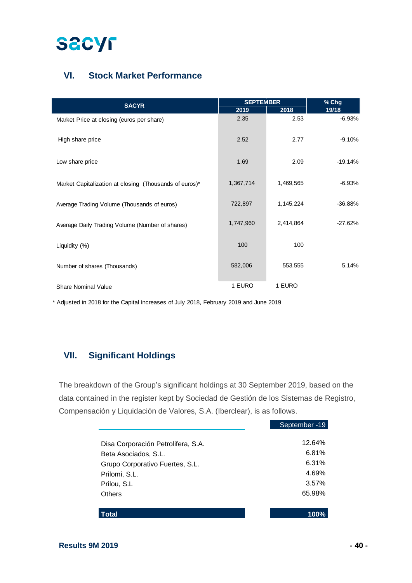

## **VI. Stock Market Performance**

|                                                        | <b>SEPTEMBER</b> |           | % Chg     |  |
|--------------------------------------------------------|------------------|-----------|-----------|--|
| <b>SACYR</b>                                           | 2019             | 2018      | 19/18     |  |
| Market Price at closing (euros per share)              | 2.35             | 2.53      | $-6.93%$  |  |
| High share price                                       | 2.52             | 2.77      | $-9.10%$  |  |
| Low share price                                        | 1.69             | 2.09      | -19.14%   |  |
| Market Capitalization at closing (Thousands of euros)* | 1,367,714        | 1,469,565 | $-6.93%$  |  |
| Average Trading Volume (Thousands of euros)            | 722,897          | 1,145,224 | $-36.88%$ |  |
| Average Daily Trading Volume (Number of shares)        | 1,747,960        | 2,414,864 | $-27.62%$ |  |
| Liquidity (%)                                          | 100              | 100       |           |  |
| Number of shares (Thousands)                           | 582,006          | 553,555   | 5.14%     |  |
| <b>Share Nominal Value</b>                             | 1 EURO           | 1 EURO    |           |  |

\* Adjusted in 2018 for the Capital Increases of July 2018, February 2019 and June 2019

## **VII. Significant Holdings**

The breakdown of the Group's significant holdings at 30 September 2019, based on the data contained in the register kept by Sociedad de Gestión de los Sistemas de Registro, Compensación y Liquidación de Valores, S.A. (Iberclear), is as follows.

|                                    | September - 19 |
|------------------------------------|----------------|
| Disa Corporación Petrolifera, S.A. | 12.64%         |
| Beta Asociados, S.L.               | 6.81%          |
| Grupo Corporativo Fuertes, S.L.    | 6.31%          |
| Prilomi, S.L.                      | 4.69%          |
| Prilou, S.L.                       | 3.57%          |
| Others                             | 65.98%         |
|                                    |                |
| Total                              | 100%           |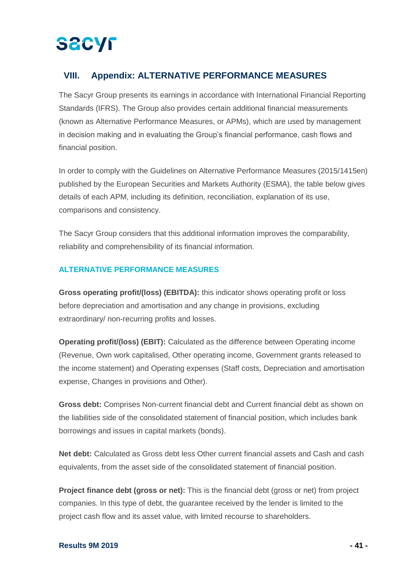## **VIII. Appendix: ALTERNATIVE PERFORMANCE MEASURES**

The Sacyr Group presents its earnings in accordance with International Financial Reporting Standards (IFRS). The Group also provides certain additional financial measurements (known as Alternative Performance Measures, or APMs), which are used by management in decision making and in evaluating the Group's financial performance, cash flows and financial position.

In order to comply with the Guidelines on Alternative Performance Measures (2015/1415en) published by the European Securities and Markets Authority (ESMA), the table below gives details of each APM, including its definition, reconciliation, explanation of its use, comparisons and consistency.

The Sacyr Group considers that this additional information improves the comparability, reliability and comprehensibility of its financial information.

### **ALTERNATIVE PERFORMANCE MEASURES**

**Gross operating profit/(loss) (EBITDA):** this indicator shows operating profit or loss before depreciation and amortisation and any change in provisions, excluding extraordinary/ non-recurring profits and losses.

**Operating profit/(loss) (EBIT):** Calculated as the difference between Operating income (Revenue, Own work capitalised, Other operating income, Government grants released to the income statement) and Operating expenses (Staff costs, Depreciation and amortisation expense, Changes in provisions and Other).

**Gross debt:** Comprises Non-current financial debt and Current financial debt as shown on the liabilities side of the consolidated statement of financial position, which includes bank borrowings and issues in capital markets (bonds).

**Net debt:** Calculated as Gross debt less Other current financial assets and Cash and cash equivalents, from the asset side of the consolidated statement of financial position.

**Project finance debt (gross or net):** This is the financial debt (gross or net) from project companies. In this type of debt, the guarantee received by the lender is limited to the project cash flow and its asset value, with limited recourse to shareholders.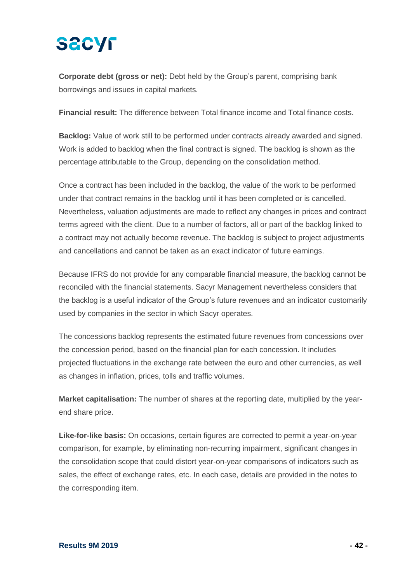# **SACYF**

**Corporate debt (gross or net):** Debt held by the Group's parent, comprising bank borrowings and issues in capital markets.

**Financial result:** The difference between Total finance income and Total finance costs.

**Backlog:** Value of work still to be performed under contracts already awarded and signed. Work is added to backlog when the final contract is signed. The backlog is shown as the percentage attributable to the Group, depending on the consolidation method.

Once a contract has been included in the backlog, the value of the work to be performed under that contract remains in the backlog until it has been completed or is cancelled. Nevertheless, valuation adjustments are made to reflect any changes in prices and contract terms agreed with the client. Due to a number of factors, all or part of the backlog linked to a contract may not actually become revenue. The backlog is subject to project adjustments and cancellations and cannot be taken as an exact indicator of future earnings.

Because IFRS do not provide for any comparable financial measure, the backlog cannot be reconciled with the financial statements. Sacyr Management nevertheless considers that the backlog is a useful indicator of the Group's future revenues and an indicator customarily used by companies in the sector in which Sacyr operates.

The concessions backlog represents the estimated future revenues from concessions over the concession period, based on the financial plan for each concession. It includes projected fluctuations in the exchange rate between the euro and other currencies, as well as changes in inflation, prices, tolls and traffic volumes.

**Market capitalisation:** The number of shares at the reporting date, multiplied by the yearend share price.

**Like-for-like basis:** On occasions, certain figures are corrected to permit a year-on-year comparison, for example, by eliminating non-recurring impairment, significant changes in the consolidation scope that could distort year-on-year comparisons of indicators such as sales, the effect of exchange rates, etc. In each case, details are provided in the notes to the corresponding item.